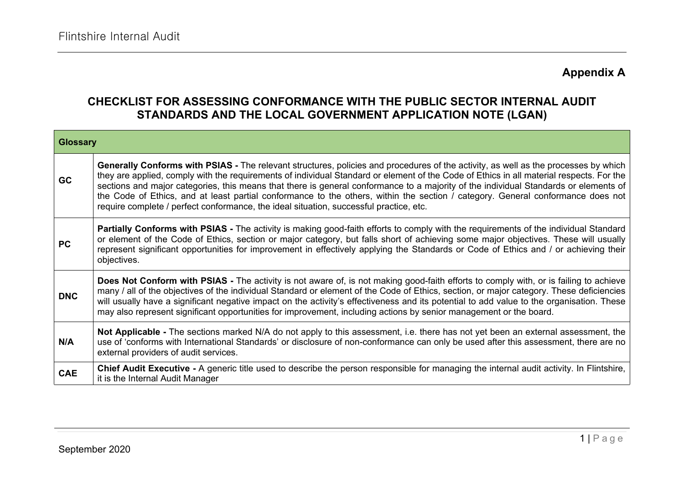# **Appendix A**

#### **CHECKLIST FOR ASSESSING CONFORMANCE WITH THE PUBLIC SECTOR INTERNAL AUDIT STANDARDS AND THE LOCAL GOVERNMENT APPLICATION NOTE (LGAN)**

| <b>Glossary</b> |                                                                                                                                                                                                                                                                                                                                                                                                                                                                                                                                                                                                                                                      |
|-----------------|------------------------------------------------------------------------------------------------------------------------------------------------------------------------------------------------------------------------------------------------------------------------------------------------------------------------------------------------------------------------------------------------------------------------------------------------------------------------------------------------------------------------------------------------------------------------------------------------------------------------------------------------------|
| <b>GC</b>       | Generally Conforms with PSIAS - The relevant structures, policies and procedures of the activity, as well as the processes by which<br>they are applied, comply with the requirements of individual Standard or element of the Code of Ethics in all material respects. For the<br>sections and major categories, this means that there is general conformance to a majority of the individual Standards or elements of<br>the Code of Ethics, and at least partial conformance to the others, within the section / category. General conformance does not<br>require complete / perfect conformance, the ideal situation, successful practice, etc. |
| <b>PC</b>       | <b>Partially Conforms with PSIAS</b> - The activity is making good-faith efforts to comply with the requirements of the individual Standard<br>or element of the Code of Ethics, section or major category, but falls short of achieving some major objectives. These will usually<br>represent significant opportunities for improvement in effectively applying the Standards or Code of Ethics and / or achieving their<br>objectives.                                                                                                                                                                                                            |
| <b>DNC</b>      | Does Not Conform with PSIAS - The activity is not aware of, is not making good-faith efforts to comply with, or is failing to achieve<br>many / all of the objectives of the individual Standard or element of the Code of Ethics, section, or major category. These deficiencies<br>will usually have a significant negative impact on the activity's effectiveness and its potential to add value to the organisation. These<br>may also represent significant opportunities for improvement, including actions by senior management or the board.                                                                                                 |
| N/A             | Not Applicable - The sections marked N/A do not apply to this assessment, i.e. there has not yet been an external assessment, the<br>use of 'conforms with International Standards' or disclosure of non-conformance can only be used after this assessment, there are no<br>external providers of audit services.                                                                                                                                                                                                                                                                                                                                   |
| <b>CAE</b>      | Chief Audit Executive - A generic title used to describe the person responsible for managing the internal audit activity. In Flintshire,<br>it is the Internal Audit Manager                                                                                                                                                                                                                                                                                                                                                                                                                                                                         |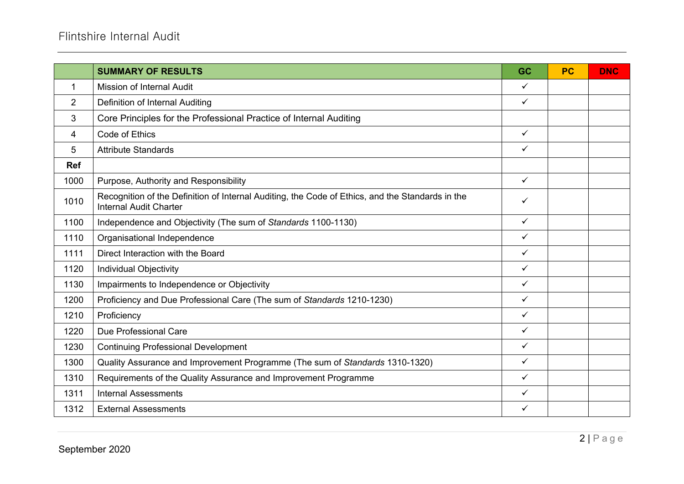|                | <b>SUMMARY OF RESULTS</b>                                                                                                         | GC           | <b>PC</b> | <b>DNC</b> |
|----------------|-----------------------------------------------------------------------------------------------------------------------------------|--------------|-----------|------------|
| 1              | Mission of Internal Audit                                                                                                         | $\checkmark$ |           |            |
| $\overline{2}$ | <b>Definition of Internal Auditing</b>                                                                                            | ✓            |           |            |
| 3              | Core Principles for the Professional Practice of Internal Auditing                                                                |              |           |            |
| 4              | Code of Ethics                                                                                                                    | $\checkmark$ |           |            |
| 5              | <b>Attribute Standards</b>                                                                                                        | $\checkmark$ |           |            |
| <b>Ref</b>     |                                                                                                                                   |              |           |            |
| 1000           | Purpose, Authority and Responsibility                                                                                             | $\checkmark$ |           |            |
| 1010           | Recognition of the Definition of Internal Auditing, the Code of Ethics, and the Standards in the<br><b>Internal Audit Charter</b> | ✓            |           |            |
| 1100           | Independence and Objectivity (The sum of Standards 1100-1130)                                                                     | $\checkmark$ |           |            |
| 1110           | Organisational Independence                                                                                                       | $\checkmark$ |           |            |
| 1111           | Direct Interaction with the Board                                                                                                 | $\checkmark$ |           |            |
| 1120           | <b>Individual Objectivity</b>                                                                                                     | ✓            |           |            |
| 1130           | Impairments to Independence or Objectivity                                                                                        | $\checkmark$ |           |            |
| 1200           | Proficiency and Due Professional Care (The sum of Standards 1210-1230)                                                            | $\checkmark$ |           |            |
| 1210           | Proficiency                                                                                                                       | ✓            |           |            |
| 1220           | Due Professional Care                                                                                                             | $\checkmark$ |           |            |
| 1230           | <b>Continuing Professional Development</b>                                                                                        | $\checkmark$ |           |            |
| 1300           | Quality Assurance and Improvement Programme (The sum of Standards 1310-1320)                                                      | $\checkmark$ |           |            |
| 1310           | Requirements of the Quality Assurance and Improvement Programme                                                                   | $\checkmark$ |           |            |
| 1311           | <b>Internal Assessments</b>                                                                                                       | ✓            |           |            |
| 1312           | <b>External Assessments</b>                                                                                                       | ✓            |           |            |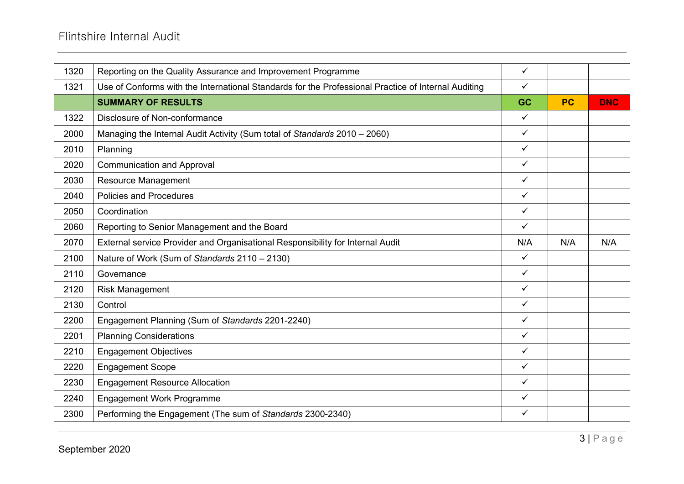| 1320 | Reporting on the Quality Assurance and Improvement Programme                                        | $\checkmark$ |           |            |
|------|-----------------------------------------------------------------------------------------------------|--------------|-----------|------------|
| 1321 | Use of Conforms with the International Standards for the Professional Practice of Internal Auditing | $\checkmark$ |           |            |
|      | <b>SUMMARY OF RESULTS</b>                                                                           | <b>GC</b>    | <b>PC</b> | <b>DNC</b> |
| 1322 | Disclosure of Non-conformance                                                                       | $\checkmark$ |           |            |
| 2000 | Managing the Internal Audit Activity (Sum total of Standards 2010 - 2060)                           | $\checkmark$ |           |            |
| 2010 | Planning                                                                                            | $\checkmark$ |           |            |
| 2020 | <b>Communication and Approval</b>                                                                   | $\checkmark$ |           |            |
| 2030 | Resource Management                                                                                 | $\checkmark$ |           |            |
| 2040 | <b>Policies and Procedures</b>                                                                      | $\checkmark$ |           |            |
| 2050 | Coordination                                                                                        | $\checkmark$ |           |            |
| 2060 | Reporting to Senior Management and the Board                                                        | $\checkmark$ |           |            |
| 2070 | External service Provider and Organisational Responsibility for Internal Audit                      | N/A          | N/A       | N/A        |
| 2100 | Nature of Work (Sum of Standards 2110 - 2130)                                                       | $\checkmark$ |           |            |
| 2110 | Governance                                                                                          | $\checkmark$ |           |            |
| 2120 | <b>Risk Management</b>                                                                              | $\checkmark$ |           |            |
| 2130 | Control                                                                                             | $\checkmark$ |           |            |
| 2200 | Engagement Planning (Sum of Standards 2201-2240)                                                    | $\checkmark$ |           |            |
| 2201 | <b>Planning Considerations</b>                                                                      | $\checkmark$ |           |            |
| 2210 | <b>Engagement Objectives</b>                                                                        | $\checkmark$ |           |            |
| 2220 | <b>Engagement Scope</b>                                                                             | $\checkmark$ |           |            |
| 2230 | <b>Engagement Resource Allocation</b>                                                               | $\checkmark$ |           |            |
| 2240 | <b>Engagement Work Programme</b>                                                                    | $\checkmark$ |           |            |
| 2300 | Performing the Engagement (The sum of Standards 2300-2340)                                          | $\checkmark$ |           |            |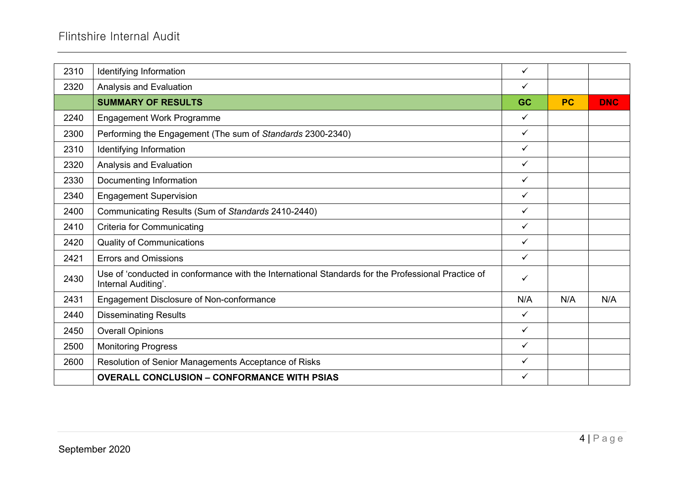| 2310 | Identifying Information                                                                                                   | $\checkmark$ |           |            |
|------|---------------------------------------------------------------------------------------------------------------------------|--------------|-----------|------------|
| 2320 | Analysis and Evaluation                                                                                                   | ✓            |           |            |
|      | <b>SUMMARY OF RESULTS</b>                                                                                                 | <b>GC</b>    | <b>PC</b> | <b>DNC</b> |
| 2240 | <b>Engagement Work Programme</b>                                                                                          | $\checkmark$ |           |            |
| 2300 | Performing the Engagement (The sum of Standards 2300-2340)                                                                | $\checkmark$ |           |            |
| 2310 | Identifying Information                                                                                                   | $\checkmark$ |           |            |
| 2320 | Analysis and Evaluation                                                                                                   | $\checkmark$ |           |            |
| 2330 | Documenting Information                                                                                                   | ✓            |           |            |
| 2340 | <b>Engagement Supervision</b>                                                                                             | $\checkmark$ |           |            |
| 2400 | Communicating Results (Sum of Standards 2410-2440)                                                                        | $\checkmark$ |           |            |
| 2410 | <b>Criteria for Communicating</b>                                                                                         | $\checkmark$ |           |            |
| 2420 | <b>Quality of Communications</b>                                                                                          | $\checkmark$ |           |            |
| 2421 | <b>Errors and Omissions</b>                                                                                               | $\checkmark$ |           |            |
| 2430 | Use of 'conducted in conformance with the International Standards for the Professional Practice of<br>Internal Auditing'. | ✓            |           |            |
| 2431 | Engagement Disclosure of Non-conformance                                                                                  | N/A          | N/A       | N/A        |
| 2440 | <b>Disseminating Results</b>                                                                                              | $\checkmark$ |           |            |
| 2450 | <b>Overall Opinions</b>                                                                                                   | $\checkmark$ |           |            |
| 2500 | <b>Monitoring Progress</b>                                                                                                | ✓            |           |            |
| 2600 | Resolution of Senior Managements Acceptance of Risks                                                                      | $\checkmark$ |           |            |
|      | <b>OVERALL CONCLUSION - CONFORMANCE WITH PSIAS</b>                                                                        | $\checkmark$ |           |            |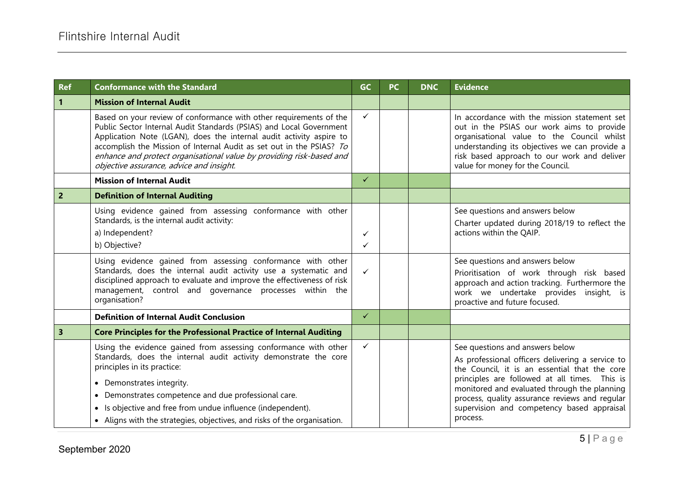| <b>Ref</b>              | <b>Conformance with the Standard</b>                                                                                                                                                                                                                                                                                                                                                                          | <b>GC</b>    | <b>PC</b> | <b>DNC</b> | <b>Evidence</b>                                                                                                                                                                                                                                                                                                                                   |
|-------------------------|---------------------------------------------------------------------------------------------------------------------------------------------------------------------------------------------------------------------------------------------------------------------------------------------------------------------------------------------------------------------------------------------------------------|--------------|-----------|------------|---------------------------------------------------------------------------------------------------------------------------------------------------------------------------------------------------------------------------------------------------------------------------------------------------------------------------------------------------|
| $\mathbf{1}$            | <b>Mission of Internal Audit</b>                                                                                                                                                                                                                                                                                                                                                                              |              |           |            |                                                                                                                                                                                                                                                                                                                                                   |
|                         | Based on your review of conformance with other requirements of the<br>Public Sector Internal Audit Standards (PSIAS) and Local Government<br>Application Note (LGAN), does the internal audit activity aspire to<br>accomplish the Mission of Internal Audit as set out in the PSIAS? To<br>enhance and protect organisational value by providing risk-based and<br>objective assurance, advice and insight.  | ✓            |           |            | In accordance with the mission statement set<br>out in the PSIAS our work aims to provide<br>organisational value to the Council whilst<br>understanding its objectives we can provide a<br>risk based approach to our work and deliver<br>value for money for the Council.                                                                       |
|                         | <b>Mission of Internal Audit</b>                                                                                                                                                                                                                                                                                                                                                                              | $\checkmark$ |           |            |                                                                                                                                                                                                                                                                                                                                                   |
| $\vert$ 2               | <b>Definition of Internal Auditing</b>                                                                                                                                                                                                                                                                                                                                                                        |              |           |            |                                                                                                                                                                                                                                                                                                                                                   |
|                         | Using evidence gained from assessing conformance with other<br>Standards, is the internal audit activity:<br>a) Independent?<br>b) Objective?                                                                                                                                                                                                                                                                 | ✓<br>✓       |           |            | See questions and answers below<br>Charter updated during 2018/19 to reflect the<br>actions within the QAIP.                                                                                                                                                                                                                                      |
|                         | Using evidence gained from assessing conformance with other<br>Standards, does the internal audit activity use a systematic and<br>disciplined approach to evaluate and improve the effectiveness of risk<br>management, control and governance processes within the<br>organisation?                                                                                                                         | $\checkmark$ |           |            | See questions and answers below<br>Prioritisation of work through risk based<br>approach and action tracking. Furthermore the<br>work we undertake provides insight, is<br>proactive and future focused.                                                                                                                                          |
|                         | <b>Definition of Internal Audit Conclusion</b>                                                                                                                                                                                                                                                                                                                                                                | $\checkmark$ |           |            |                                                                                                                                                                                                                                                                                                                                                   |
| $\overline{\mathbf{3}}$ | <b>Core Principles for the Professional Practice of Internal Auditing</b>                                                                                                                                                                                                                                                                                                                                     |              |           |            |                                                                                                                                                                                                                                                                                                                                                   |
|                         | Using the evidence gained from assessing conformance with other<br>Standards, does the internal audit activity demonstrate the core<br>principles in its practice:<br>• Demonstrates integrity.<br>Demonstrates competence and due professional care.<br>$\bullet$<br>• Is objective and free from undue influence (independent).<br>• Aligns with the strategies, objectives, and risks of the organisation. | ✓            |           |            | See questions and answers below<br>As professional officers delivering a service to<br>the Council, it is an essential that the core<br>principles are followed at all times. This is<br>monitored and evaluated through the planning<br>process, quality assurance reviews and regular<br>supervision and competency based appraisal<br>process. |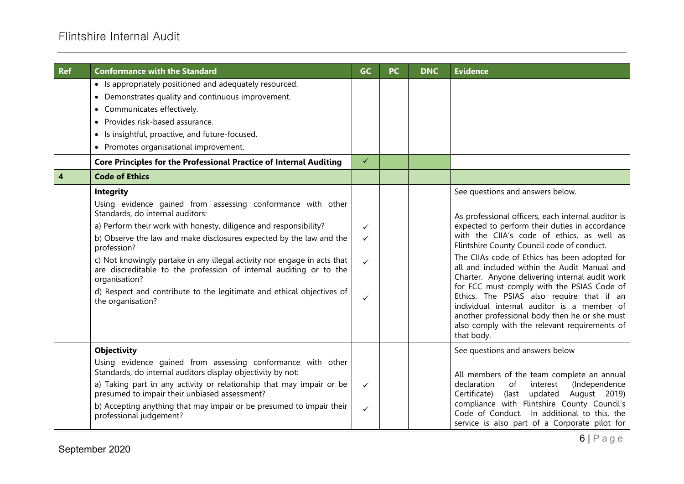# Flintshire Internal Audit

| <b>Ref</b>              | <b>Conformance with the Standard</b>                                                                                                                                                                                                                                                                                                                                                                                                                                                                                                                                                                                                                                                                                                                                                                                                                                                                                   | <b>GC</b>                                                                    | <b>PC</b> | <b>DNC</b> | <b>Evidence</b>                                                                                                                                                                                                                                                                                                                                                                                                                                                                                                                  |
|-------------------------|------------------------------------------------------------------------------------------------------------------------------------------------------------------------------------------------------------------------------------------------------------------------------------------------------------------------------------------------------------------------------------------------------------------------------------------------------------------------------------------------------------------------------------------------------------------------------------------------------------------------------------------------------------------------------------------------------------------------------------------------------------------------------------------------------------------------------------------------------------------------------------------------------------------------|------------------------------------------------------------------------------|-----------|------------|----------------------------------------------------------------------------------------------------------------------------------------------------------------------------------------------------------------------------------------------------------------------------------------------------------------------------------------------------------------------------------------------------------------------------------------------------------------------------------------------------------------------------------|
| $\overline{\mathbf{4}}$ | • Is appropriately positioned and adequately resourced.<br>• Demonstrates quality and continuous improvement.<br>• Communicates effectively.<br>• Provides risk-based assurance.<br>Is insightful, proactive, and future-focused.<br>• Promotes organisational improvement.<br>Core Principles for the Professional Practice of Internal Auditing<br><b>Code of Ethics</b><br>Integrity<br>Using evidence gained from assessing conformance with other<br>Standards, do internal auditors:<br>a) Perform their work with honesty, diligence and responsibility?<br>b) Observe the law and make disclosures expected by the law and the<br>profession?<br>c) Not knowingly partake in any illegal activity nor engage in acts that<br>are discreditable to the profession of internal auditing or to the<br>organisation?<br>d) Respect and contribute to the legitimate and ethical objectives of<br>the organisation? | $\checkmark$<br>$\checkmark$<br>$\checkmark$<br>$\checkmark$<br>$\checkmark$ |           |            | See questions and answers below.<br>As professional officers, each internal auditor is<br>expected to perform their duties in accordance<br>with the CIIA's code of ethics, as well as<br>Flintshire County Council code of conduct.<br>The CIIAs code of Ethics has been adopted for<br>all and included within the Audit Manual and<br>Charter. Anyone delivering internal audit work<br>for FCC must comply with the PSIAS Code of<br>Ethics. The PSIAS also require that if an<br>individual internal auditor is a member of |
|                         | <b>Objectivity</b><br>Using evidence gained from assessing conformance with other<br>Standards, do internal auditors display objectivity by not:<br>a) Taking part in any activity or relationship that may impair or be<br>presumed to impair their unbiased assessment?<br>b) Accepting anything that may impair or be presumed to impair their<br>professional judgement?                                                                                                                                                                                                                                                                                                                                                                                                                                                                                                                                           | $\checkmark$<br>$\checkmark$                                                 |           |            | another professional body then he or she must<br>also comply with the relevant requirements of<br>that body.<br>See questions and answers below<br>All members of the team complete an annual<br>declaration<br>of<br>interest<br>(Independence<br>Certificate)<br>(last<br>updated<br>August 2019)<br>compliance with Flintshire County Council's<br>Code of Conduct. In additional to this, the<br>service is also part of a Corporate pilot for                                                                               |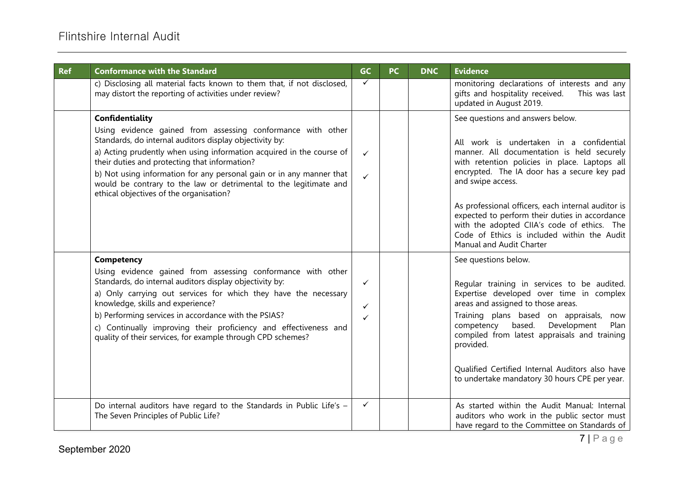| <b>Ref</b> | <b>Conformance with the Standard</b>                                                                                                                                                                                                                                                                                                                                                                                                                       | GC                           | <b>PC</b> | <b>DNC</b> | <b>Evidence</b>                                                                                                                                                                                                                                                                                                                                                                                                                                                                   |
|------------|------------------------------------------------------------------------------------------------------------------------------------------------------------------------------------------------------------------------------------------------------------------------------------------------------------------------------------------------------------------------------------------------------------------------------------------------------------|------------------------------|-----------|------------|-----------------------------------------------------------------------------------------------------------------------------------------------------------------------------------------------------------------------------------------------------------------------------------------------------------------------------------------------------------------------------------------------------------------------------------------------------------------------------------|
|            | c) Disclosing all material facts known to them that, if not disclosed,<br>may distort the reporting of activities under review?                                                                                                                                                                                                                                                                                                                            | $\checkmark$                 |           |            | monitoring declarations of interests and any<br>gifts and hospitality received.<br>This was last<br>updated in August 2019.                                                                                                                                                                                                                                                                                                                                                       |
|            | Confidentiality<br>Using evidence gained from assessing conformance with other<br>Standards, do internal auditors display objectivity by:<br>a) Acting prudently when using information acquired in the course of<br>their duties and protecting that information?<br>b) Not using information for any personal gain or in any manner that<br>would be contrary to the law or detrimental to the legitimate and<br>ethical objectives of the organisation? | $\checkmark$<br>$\checkmark$ |           |            | See questions and answers below.<br>All work is undertaken in a confidential<br>manner. All documentation is held securely<br>with retention policies in place. Laptops all<br>encrypted. The IA door has a secure key pad<br>and swipe access.<br>As professional officers, each internal auditor is<br>expected to perform their duties in accordance<br>with the adopted CIIA's code of ethics. The<br>Code of Ethics is included within the Audit<br>Manual and Audit Charter |
|            | Competency<br>Using evidence gained from assessing conformance with other<br>Standards, do internal auditors display objectivity by:<br>a) Only carrying out services for which they have the necessary<br>knowledge, skills and experience?<br>b) Performing services in accordance with the PSIAS?<br>c) Continually improving their proficiency and effectiveness and<br>quality of their services, for example through CPD schemes?                    | ✓<br>$\checkmark$<br>✓       |           |            | See questions below.<br>Regular training in services to be audited.<br>Expertise developed over time in complex<br>areas and assigned to those areas.<br>Training plans based on appraisals,<br>now<br>based.<br>Development<br>Plan<br>competency<br>compiled from latest appraisals and training<br>provided.<br>Qualified Certified Internal Auditors also have<br>to undertake mandatory 30 hours CPE per year.                                                               |
|            | Do internal auditors have regard to the Standards in Public Life's -<br>The Seven Principles of Public Life?                                                                                                                                                                                                                                                                                                                                               | $\checkmark$                 |           |            | As started within the Audit Manual: Internal<br>auditors who work in the public sector must<br>have regard to the Committee on Standards of                                                                                                                                                                                                                                                                                                                                       |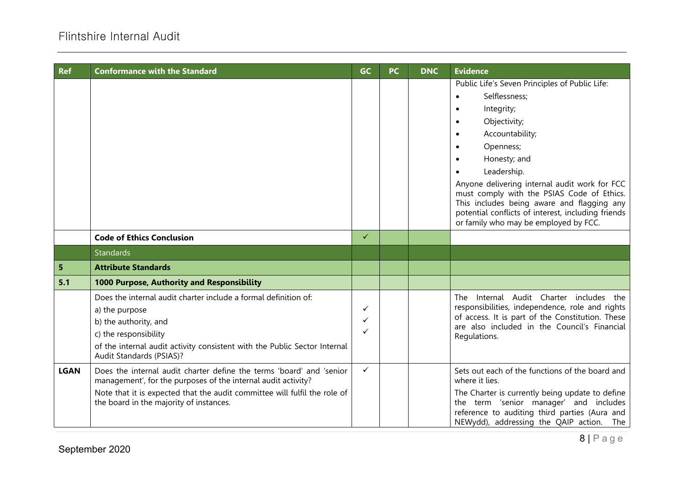| <b>Ref</b>  | <b>Conformance with the Standard</b>                                                                                                                                                                                                                          | <b>GC</b>    | <b>PC</b> | <b>DNC</b> | <b>Evidence</b>                                                                                                                                                                                                                                                                                                                                                                                          |
|-------------|---------------------------------------------------------------------------------------------------------------------------------------------------------------------------------------------------------------------------------------------------------------|--------------|-----------|------------|----------------------------------------------------------------------------------------------------------------------------------------------------------------------------------------------------------------------------------------------------------------------------------------------------------------------------------------------------------------------------------------------------------|
|             |                                                                                                                                                                                                                                                               |              |           |            | Public Life's Seven Principles of Public Life:<br>Selflessness;<br>Integrity;<br>Objectivity;<br>Accountability;<br>Openness;<br>Honesty; and<br>Leadership.<br>Anyone delivering internal audit work for FCC<br>must comply with the PSIAS Code of Ethics.<br>This includes being aware and flagging any<br>potential conflicts of interest, including friends<br>or family who may be employed by FCC. |
|             | <b>Code of Ethics Conclusion</b>                                                                                                                                                                                                                              | $\checkmark$ |           |            |                                                                                                                                                                                                                                                                                                                                                                                                          |
|             | <b>Standards</b>                                                                                                                                                                                                                                              |              |           |            |                                                                                                                                                                                                                                                                                                                                                                                                          |
| 5           | <b>Attribute Standards</b>                                                                                                                                                                                                                                    |              |           |            |                                                                                                                                                                                                                                                                                                                                                                                                          |
| 5.1         | 1000 Purpose, Authority and Responsibility                                                                                                                                                                                                                    |              |           |            |                                                                                                                                                                                                                                                                                                                                                                                                          |
|             | Does the internal audit charter include a formal definition of:<br>a) the purpose<br>b) the authority, and<br>c) the responsibility<br>of the internal audit activity consistent with the Public Sector Internal<br>Audit Standards (PSIAS)?                  | ✓<br>✓<br>✓  |           |            | Internal Audit Charter includes the<br>The<br>responsibilities, independence, role and rights<br>of access. It is part of the Constitution. These<br>are also included in the Council's Financial<br>Regulations.                                                                                                                                                                                        |
| <b>LGAN</b> | Does the internal audit charter define the terms 'board' and 'senior<br>management', for the purposes of the internal audit activity?<br>Note that it is expected that the audit committee will fulfil the role of<br>the board in the majority of instances. | $\checkmark$ |           |            | Sets out each of the functions of the board and<br>where it lies.<br>The Charter is currently being update to define<br>the term 'senior manager' and includes<br>reference to auditing third parties (Aura and<br>NEWydd), addressing the QAIP action. The                                                                                                                                              |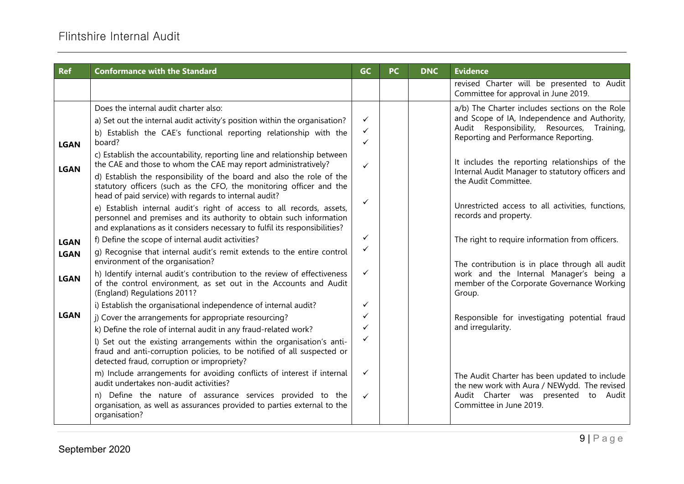| <b>Ref</b>                 | <b>Conformance with the Standard</b>                                                                                                                                                                                                                                                                                                                                                                                                                                                                                                                      | <b>GC</b>                                         | <b>PC</b> | <b>DNC</b> | <b>Evidence</b>                                                                                                                                                                                                                                                                                                    |
|----------------------------|-----------------------------------------------------------------------------------------------------------------------------------------------------------------------------------------------------------------------------------------------------------------------------------------------------------------------------------------------------------------------------------------------------------------------------------------------------------------------------------------------------------------------------------------------------------|---------------------------------------------------|-----------|------------|--------------------------------------------------------------------------------------------------------------------------------------------------------------------------------------------------------------------------------------------------------------------------------------------------------------------|
|                            |                                                                                                                                                                                                                                                                                                                                                                                                                                                                                                                                                           |                                                   |           |            | revised Charter will be presented to Audit<br>Committee for approval in June 2019.                                                                                                                                                                                                                                 |
| <b>LGAN</b><br><b>LGAN</b> | Does the internal audit charter also:<br>a) Set out the internal audit activity's position within the organisation?<br>b) Establish the CAE's functional reporting relationship with the<br>board?<br>c) Establish the accountability, reporting line and relationship between<br>the CAE and those to whom the CAE may report administratively?<br>d) Establish the responsibility of the board and also the role of the<br>statutory officers (such as the CFO, the monitoring officer and the<br>head of paid service) with regards to internal audit? | $\checkmark$<br>$\checkmark$<br>✓<br>$\checkmark$ |           |            | a/b) The Charter includes sections on the Role<br>and Scope of IA, Independence and Authority,<br>Audit Responsibility, Resources, Training,<br>Reporting and Performance Reporting.<br>It includes the reporting relationships of the<br>Internal Audit Manager to statutory officers and<br>the Audit Committee. |
|                            | e) Establish internal audit's right of access to all records, assets,<br>personnel and premises and its authority to obtain such information<br>and explanations as it considers necessary to fulfil its responsibilities?                                                                                                                                                                                                                                                                                                                                | $\checkmark$                                      |           |            | Unrestricted access to all activities, functions,<br>records and property.                                                                                                                                                                                                                                         |
| <b>LGAN</b><br><b>LGAN</b> | f) Define the scope of internal audit activities?<br>g) Recognise that internal audit's remit extends to the entire control<br>environment of the organisation?                                                                                                                                                                                                                                                                                                                                                                                           | ✓<br>✓                                            |           |            | The right to require information from officers.<br>The contribution is in place through all audit                                                                                                                                                                                                                  |
| <b>LGAN</b>                | h) Identify internal audit's contribution to the review of effectiveness<br>of the control environment, as set out in the Accounts and Audit<br>(England) Regulations 2011?                                                                                                                                                                                                                                                                                                                                                                               | $\checkmark$                                      |           |            | work and the Internal Manager's being a<br>member of the Corporate Governance Working<br>Group.                                                                                                                                                                                                                    |
| <b>LGAN</b>                | i) Establish the organisational independence of internal audit?<br>j) Cover the arrangements for appropriate resourcing?<br>k) Define the role of internal audit in any fraud-related work?<br>I) Set out the existing arrangements within the organisation's anti-<br>fraud and anti-corruption policies, to be notified of all suspected or<br>detected fraud, corruption or impropriety?                                                                                                                                                               | ✓<br>✓<br>✓<br>✓                                  |           |            | Responsible for investigating potential fraud<br>and irregularity.                                                                                                                                                                                                                                                 |
|                            | m) Include arrangements for avoiding conflicts of interest if internal<br>audit undertakes non-audit activities?<br>n) Define the nature of assurance services provided to the<br>organisation, as well as assurances provided to parties external to the<br>organisation?                                                                                                                                                                                                                                                                                | ✓<br>$\checkmark$                                 |           |            | The Audit Charter has been updated to include<br>the new work with Aura / NEWydd. The revised<br>Audit Charter was presented to Audit<br>Committee in June 2019.                                                                                                                                                   |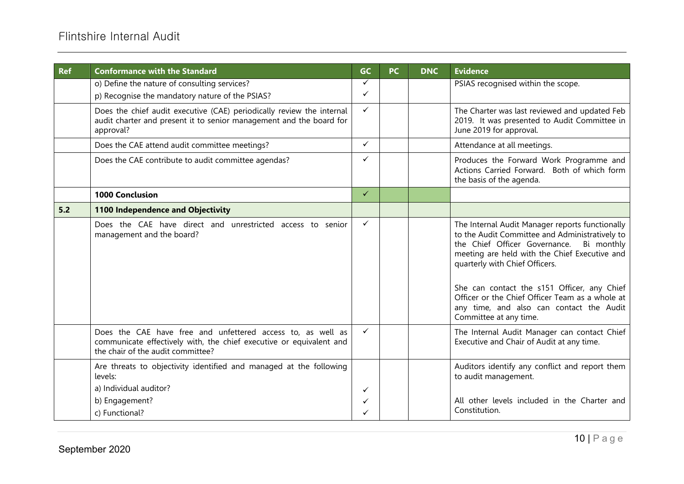| <b>Ref</b> | <b>Conformance with the Standard</b>                                                                                                                                    | GC           | <b>PC</b> | <b>DNC</b> | <b>Evidence</b>                                                                                                                                                                                                                                                                                                                                                                                             |
|------------|-------------------------------------------------------------------------------------------------------------------------------------------------------------------------|--------------|-----------|------------|-------------------------------------------------------------------------------------------------------------------------------------------------------------------------------------------------------------------------------------------------------------------------------------------------------------------------------------------------------------------------------------------------------------|
|            | o) Define the nature of consulting services?<br>p) Recognise the mandatory nature of the PSIAS?                                                                         | ✓<br>✓       |           |            | PSIAS recognised within the scope.                                                                                                                                                                                                                                                                                                                                                                          |
|            | Does the chief audit executive (CAE) periodically review the internal<br>audit charter and present it to senior management and the board for<br>approval?               | ✓            |           |            | The Charter was last reviewed and updated Feb<br>2019. It was presented to Audit Committee in<br>June 2019 for approval.                                                                                                                                                                                                                                                                                    |
|            | Does the CAE attend audit committee meetings?                                                                                                                           | $\checkmark$ |           |            | Attendance at all meetings.                                                                                                                                                                                                                                                                                                                                                                                 |
|            | Does the CAE contribute to audit committee agendas?                                                                                                                     | ✓            |           |            | Produces the Forward Work Programme and<br>Actions Carried Forward. Both of which form<br>the basis of the agenda.                                                                                                                                                                                                                                                                                          |
|            | <b>1000 Conclusion</b>                                                                                                                                                  | $\checkmark$ |           |            |                                                                                                                                                                                                                                                                                                                                                                                                             |
| 5.2        | 1100 Independence and Objectivity                                                                                                                                       |              |           |            |                                                                                                                                                                                                                                                                                                                                                                                                             |
|            | Does the CAE have direct and unrestricted access to senior<br>management and the board?                                                                                 | $\checkmark$ |           |            | The Internal Audit Manager reports functionally<br>to the Audit Committee and Administratively to<br>the Chief Officer Governance.<br>Bi monthly<br>meeting are held with the Chief Executive and<br>quarterly with Chief Officers.<br>She can contact the s151 Officer, any Chief<br>Officer or the Chief Officer Team as a whole at<br>any time, and also can contact the Audit<br>Committee at any time. |
|            | Does the CAE have free and unfettered access to, as well as<br>communicate effectively with, the chief executive or equivalent and<br>the chair of the audit committee? | $\checkmark$ |           |            | The Internal Audit Manager can contact Chief<br>Executive and Chair of Audit at any time.                                                                                                                                                                                                                                                                                                                   |
|            | Are threats to objectivity identified and managed at the following<br>levels:<br>a) Individual auditor?<br>b) Engagement?                                               | ✓<br>✓       |           |            | Auditors identify any conflict and report them<br>to audit management.<br>All other levels included in the Charter and                                                                                                                                                                                                                                                                                      |
|            | c) Functional?                                                                                                                                                          | ✓            |           |            | Constitution.                                                                                                                                                                                                                                                                                                                                                                                               |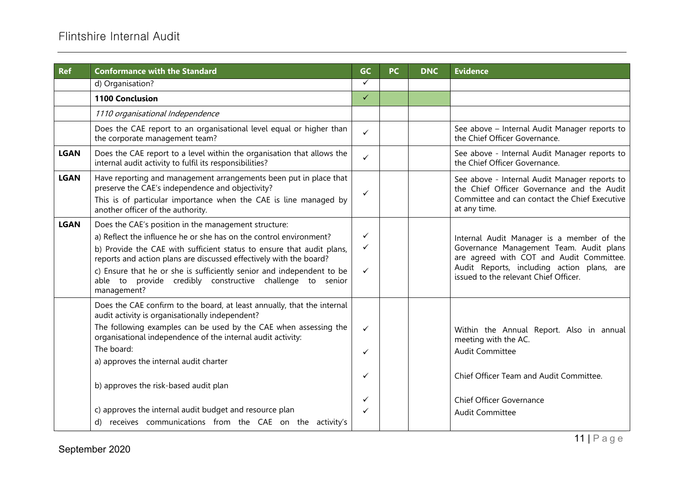| <b>Ref</b>  | <b>Conformance with the Standard</b>                                                                                                                                                                                                                                                                                                                                                                                                                                                   | GC                    | <b>PC</b> | <b>DNC</b> | <b>Evidence</b>                                                                                                                                                                                                         |
|-------------|----------------------------------------------------------------------------------------------------------------------------------------------------------------------------------------------------------------------------------------------------------------------------------------------------------------------------------------------------------------------------------------------------------------------------------------------------------------------------------------|-----------------------|-----------|------------|-------------------------------------------------------------------------------------------------------------------------------------------------------------------------------------------------------------------------|
|             | d) Organisation?                                                                                                                                                                                                                                                                                                                                                                                                                                                                       | $\checkmark$          |           |            |                                                                                                                                                                                                                         |
|             | <b>1100 Conclusion</b>                                                                                                                                                                                                                                                                                                                                                                                                                                                                 | $\checkmark$          |           |            |                                                                                                                                                                                                                         |
|             | 1110 organisational Independence                                                                                                                                                                                                                                                                                                                                                                                                                                                       |                       |           |            |                                                                                                                                                                                                                         |
|             | Does the CAE report to an organisational level equal or higher than<br>the corporate management team?                                                                                                                                                                                                                                                                                                                                                                                  | $\checkmark$          |           |            | See above - Internal Audit Manager reports to<br>the Chief Officer Governance.                                                                                                                                          |
| <b>LGAN</b> | Does the CAE report to a level within the organisation that allows the<br>internal audit activity to fulfil its responsibilities?                                                                                                                                                                                                                                                                                                                                                      | $\checkmark$          |           |            | See above - Internal Audit Manager reports to<br>the Chief Officer Governance.                                                                                                                                          |
| <b>LGAN</b> | Have reporting and management arrangements been put in place that<br>preserve the CAE's independence and objectivity?<br>This is of particular importance when the CAE is line managed by<br>another officer of the authority.                                                                                                                                                                                                                                                         | ✓                     |           |            | See above - Internal Audit Manager reports to<br>the Chief Officer Governance and the Audit<br>Committee and can contact the Chief Executive<br>at any time.                                                            |
| <b>LGAN</b> | Does the CAE's position in the management structure:<br>a) Reflect the influence he or she has on the control environment?<br>b) Provide the CAE with sufficient status to ensure that audit plans,<br>reports and action plans are discussed effectively with the board?<br>c) Ensure that he or she is sufficiently senior and independent to be<br>able to provide credibly constructive challenge to senior<br>management?                                                         | ✓<br>✓<br>✓           |           |            | Internal Audit Manager is a member of the<br>Governance Management Team. Audit plans<br>are agreed with COT and Audit Committee.<br>Audit Reports, including action plans, are<br>issued to the relevant Chief Officer. |
|             | Does the CAE confirm to the board, at least annually, that the internal<br>audit activity is organisationally independent?<br>The following examples can be used by the CAE when assessing the<br>organisational independence of the internal audit activity:<br>The board:<br>a) approves the internal audit charter<br>b) approves the risk-based audit plan<br>c) approves the internal audit budget and resource plan<br>d) receives communications from the CAE on the activity's | ✓<br>✓<br>✓<br>✓<br>✓ |           |            | Within the Annual Report. Also in annual<br>meeting with the AC.<br><b>Audit Committee</b><br>Chief Officer Team and Audit Committee.<br><b>Chief Officer Governance</b><br><b>Audit Committee</b>                      |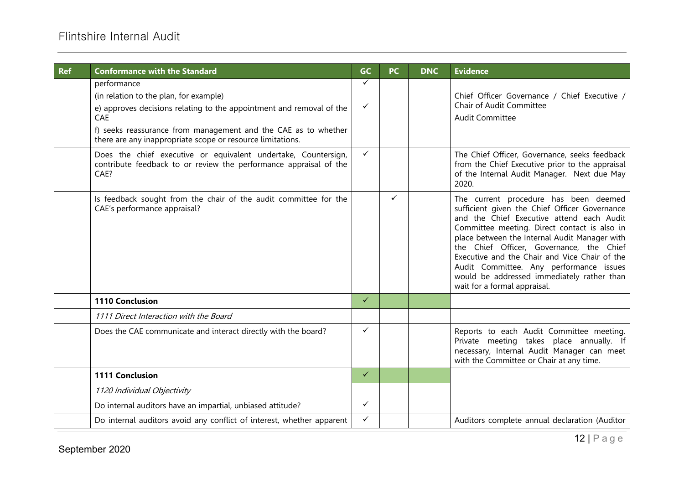| <b>Ref</b> | <b>Conformance with the Standard</b>                                                                                                                                                                                                                                 | <b>GC</b>    | <b>PC</b>    | <b>DNC</b> | <b>Evidence</b>                                                                                                                                                                                                                                                                                                                                                                                                                                            |
|------------|----------------------------------------------------------------------------------------------------------------------------------------------------------------------------------------------------------------------------------------------------------------------|--------------|--------------|------------|------------------------------------------------------------------------------------------------------------------------------------------------------------------------------------------------------------------------------------------------------------------------------------------------------------------------------------------------------------------------------------------------------------------------------------------------------------|
|            | performance<br>(in relation to the plan, for example)<br>e) approves decisions relating to the appointment and removal of the<br>CAE<br>f) seeks reassurance from management and the CAE as to whether<br>there are any inappropriate scope or resource limitations. | ✓<br>✓       |              |            | Chief Officer Governance / Chief Executive /<br><b>Chair of Audit Committee</b><br><b>Audit Committee</b>                                                                                                                                                                                                                                                                                                                                                  |
|            | Does the chief executive or equivalent undertake, Countersign,<br>contribute feedback to or review the performance appraisal of the<br>CAE?                                                                                                                          | $\checkmark$ |              |            | The Chief Officer, Governance, seeks feedback<br>from the Chief Executive prior to the appraisal<br>of the Internal Audit Manager. Next due May<br>2020.                                                                                                                                                                                                                                                                                                   |
|            | Is feedback sought from the chair of the audit committee for the<br>CAE's performance appraisal?                                                                                                                                                                     |              | $\checkmark$ |            | The current procedure has been deemed<br>sufficient given the Chief Officer Governance<br>and the Chief Executive attend each Audit<br>Committee meeting. Direct contact is also in<br>place between the Internal Audit Manager with<br>the Chief Officer, Governance, the Chief<br>Executive and the Chair and Vice Chair of the<br>Audit Committee. Any performance issues<br>would be addressed immediately rather than<br>wait for a formal appraisal. |
|            | 1110 Conclusion                                                                                                                                                                                                                                                      | $\checkmark$ |              |            |                                                                                                                                                                                                                                                                                                                                                                                                                                                            |
|            | 1111 Direct Interaction with the Board                                                                                                                                                                                                                               |              |              |            |                                                                                                                                                                                                                                                                                                                                                                                                                                                            |
|            | Does the CAE communicate and interact directly with the board?                                                                                                                                                                                                       | $\checkmark$ |              |            | Reports to each Audit Committee meeting.<br>Private meeting takes place annually. If<br>necessary, Internal Audit Manager can meet<br>with the Committee or Chair at any time.                                                                                                                                                                                                                                                                             |
|            | 1111 Conclusion                                                                                                                                                                                                                                                      | $\checkmark$ |              |            |                                                                                                                                                                                                                                                                                                                                                                                                                                                            |
|            | 1120 Individual Objectivity                                                                                                                                                                                                                                          |              |              |            |                                                                                                                                                                                                                                                                                                                                                                                                                                                            |
|            | Do internal auditors have an impartial, unbiased attitude?                                                                                                                                                                                                           | $\checkmark$ |              |            |                                                                                                                                                                                                                                                                                                                                                                                                                                                            |
|            | Do internal auditors avoid any conflict of interest, whether apparent                                                                                                                                                                                                | $\checkmark$ |              |            | Auditors complete annual declaration (Auditor                                                                                                                                                                                                                                                                                                                                                                                                              |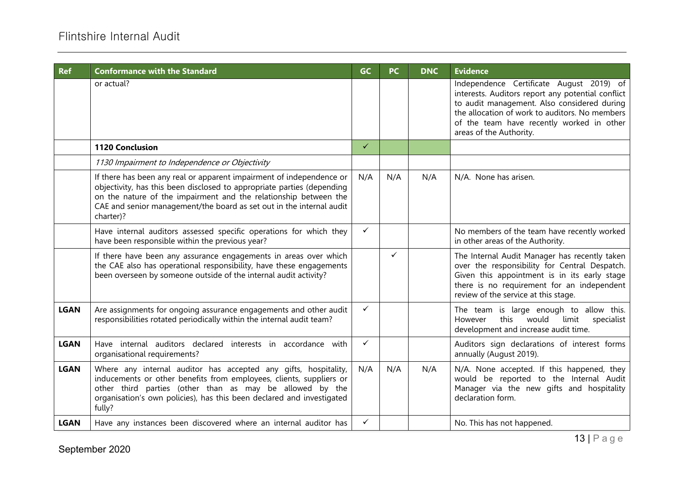| <b>Ref</b>  | <b>Conformance with the Standard</b>                                                                                                                                                                                                                                                                    | <b>GC</b>    | <b>PC</b>    | <b>DNC</b> | <b>Evidence</b>                                                                                                                                                                                                                                                        |
|-------------|---------------------------------------------------------------------------------------------------------------------------------------------------------------------------------------------------------------------------------------------------------------------------------------------------------|--------------|--------------|------------|------------------------------------------------------------------------------------------------------------------------------------------------------------------------------------------------------------------------------------------------------------------------|
|             | or actual?                                                                                                                                                                                                                                                                                              |              |              |            | Independence Certificate August 2019) of<br>interests. Auditors report any potential conflict<br>to audit management. Also considered during<br>the allocation of work to auditors. No members<br>of the team have recently worked in other<br>areas of the Authority. |
|             | <b>1120 Conclusion</b>                                                                                                                                                                                                                                                                                  | $\checkmark$ |              |            |                                                                                                                                                                                                                                                                        |
|             | 1130 Impairment to Independence or Objectivity                                                                                                                                                                                                                                                          |              |              |            |                                                                                                                                                                                                                                                                        |
|             | If there has been any real or apparent impairment of independence or<br>objectivity, has this been disclosed to appropriate parties (depending<br>on the nature of the impairment and the relationship between the<br>CAE and senior management/the board as set out in the internal audit<br>charter)? | N/A          | N/A          | N/A        | N/A. None has arisen.                                                                                                                                                                                                                                                  |
|             | Have internal auditors assessed specific operations for which they<br>have been responsible within the previous year?                                                                                                                                                                                   | $\checkmark$ |              |            | No members of the team have recently worked<br>in other areas of the Authority.                                                                                                                                                                                        |
|             | If there have been any assurance engagements in areas over which<br>the CAE also has operational responsibility, have these engagements<br>been overseen by someone outside of the internal audit activity?                                                                                             |              | $\checkmark$ |            | The Internal Audit Manager has recently taken<br>over the responsibility for Central Despatch.<br>Given this appointment is in its early stage<br>there is no requirement for an independent<br>review of the service at this stage.                                   |
| <b>LGAN</b> | Are assignments for ongoing assurance engagements and other audit<br>responsibilities rotated periodically within the internal audit team?                                                                                                                                                              | $\checkmark$ |              |            | The team is large enough to allow this.<br>this<br>would<br>limit<br>specialist<br>However<br>development and increase audit time.                                                                                                                                     |
| <b>LGAN</b> | Have internal auditors declared interests in accordance with<br>organisational requirements?                                                                                                                                                                                                            | ✓            |              |            | Auditors sign declarations of interest forms<br>annually (August 2019).                                                                                                                                                                                                |
| <b>LGAN</b> | Where any internal auditor has accepted any gifts, hospitality,<br>inducements or other benefits from employees, clients, suppliers or<br>other third parties (other than as may be allowed by the<br>organisation's own policies), has this been declared and investigated<br>fully?                   | N/A          | N/A          | N/A        | N/A. None accepted. If this happened, they<br>would be reported to the Internal Audit<br>Manager via the new gifts and hospitality<br>declaration form.                                                                                                                |
| <b>LGAN</b> | Have any instances been discovered where an internal auditor has                                                                                                                                                                                                                                        | ✓            |              |            | No. This has not happened.                                                                                                                                                                                                                                             |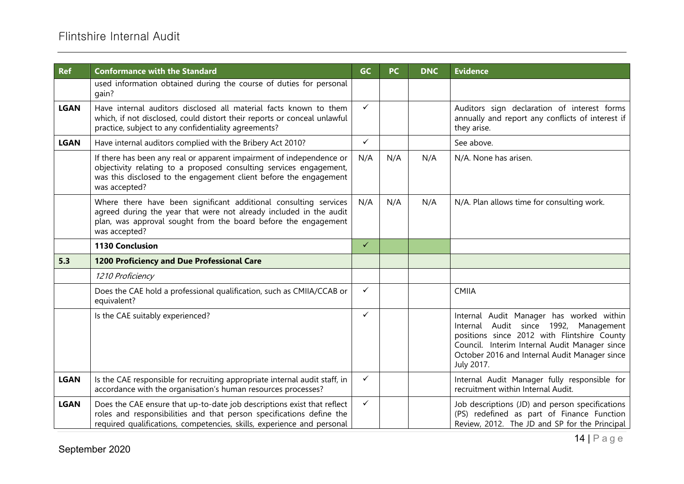| <b>Ref</b>  | <b>Conformance with the Standard</b>                                                                                                                                                                                             | <b>GC</b>    | <b>PC</b> | <b>DNC</b> | <b>Evidence</b>                                                                                                                                                                                                                                  |
|-------------|----------------------------------------------------------------------------------------------------------------------------------------------------------------------------------------------------------------------------------|--------------|-----------|------------|--------------------------------------------------------------------------------------------------------------------------------------------------------------------------------------------------------------------------------------------------|
|             | used information obtained during the course of duties for personal<br>gain?                                                                                                                                                      |              |           |            |                                                                                                                                                                                                                                                  |
| <b>LGAN</b> | Have internal auditors disclosed all material facts known to them<br>which, if not disclosed, could distort their reports or conceal unlawful<br>practice, subject to any confidentiality agreements?                            | $\checkmark$ |           |            | Auditors sign declaration of interest forms<br>annually and report any conflicts of interest if<br>they arise.                                                                                                                                   |
| <b>LGAN</b> | Have internal auditors complied with the Bribery Act 2010?                                                                                                                                                                       | $\checkmark$ |           |            | See above.                                                                                                                                                                                                                                       |
|             | If there has been any real or apparent impairment of independence or<br>objectivity relating to a proposed consulting services engagement,<br>was this disclosed to the engagement client before the engagement<br>was accepted? | N/A          | N/A       | N/A        | N/A. None has arisen.                                                                                                                                                                                                                            |
|             | Where there have been significant additional consulting services<br>agreed during the year that were not already included in the audit<br>plan, was approval sought from the board before the engagement<br>was accepted?        | N/A          | N/A       | N/A        | N/A. Plan allows time for consulting work.                                                                                                                                                                                                       |
|             | <b>1130 Conclusion</b>                                                                                                                                                                                                           | $\checkmark$ |           |            |                                                                                                                                                                                                                                                  |
| 5.3         | 1200 Proficiency and Due Professional Care                                                                                                                                                                                       |              |           |            |                                                                                                                                                                                                                                                  |
|             | 1210 Proficiency                                                                                                                                                                                                                 |              |           |            |                                                                                                                                                                                                                                                  |
|             | Does the CAE hold a professional qualification, such as CMIIA/CCAB or<br>equivalent?                                                                                                                                             | $\checkmark$ |           |            | <b>CMIIA</b>                                                                                                                                                                                                                                     |
|             | Is the CAE suitably experienced?                                                                                                                                                                                                 | $\checkmark$ |           |            | Internal Audit Manager has worked within<br>Internal Audit since 1992, Management<br>positions since 2012 with Flintshire County<br>Council. Interim Internal Audit Manager since<br>October 2016 and Internal Audit Manager since<br>July 2017. |
| <b>LGAN</b> | Is the CAE responsible for recruiting appropriate internal audit staff, in<br>accordance with the organisation's human resources processes?                                                                                      | ✓            |           |            | Internal Audit Manager fully responsible for<br>recruitment within Internal Audit.                                                                                                                                                               |
| <b>LGAN</b> | Does the CAE ensure that up-to-date job descriptions exist that reflect<br>roles and responsibilities and that person specifications define the<br>required qualifications, competencies, skills, experience and personal        | ✓            |           |            | Job descriptions (JD) and person specifications<br>(PS) redefined as part of Finance Function<br>Review, 2012. The JD and SP for the Principal                                                                                                   |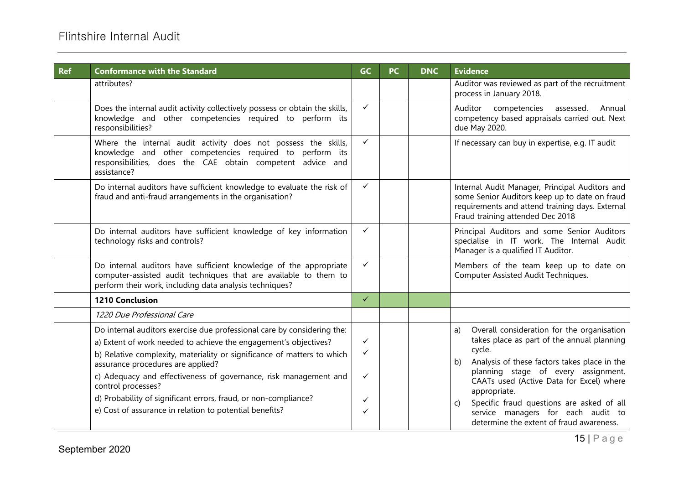| <b>Ref</b> | <b>Conformance with the Standard</b>                                                                                                                                                                                                                                                                                                                                                                                                                                                | <b>GC</b>             | <b>PC</b> | <b>DNC</b> | <b>Evidence</b>                                                                                                                                                                                                                                                                                                                                                                                        |
|------------|-------------------------------------------------------------------------------------------------------------------------------------------------------------------------------------------------------------------------------------------------------------------------------------------------------------------------------------------------------------------------------------------------------------------------------------------------------------------------------------|-----------------------|-----------|------------|--------------------------------------------------------------------------------------------------------------------------------------------------------------------------------------------------------------------------------------------------------------------------------------------------------------------------------------------------------------------------------------------------------|
|            | attributes?                                                                                                                                                                                                                                                                                                                                                                                                                                                                         |                       |           |            | Auditor was reviewed as part of the recruitment<br>process in January 2018.                                                                                                                                                                                                                                                                                                                            |
|            | Does the internal audit activity collectively possess or obtain the skills,<br>knowledge and other competencies required to perform its<br>responsibilities?                                                                                                                                                                                                                                                                                                                        | $\checkmark$          |           |            | Auditor<br>competencies<br>Annual<br>assessed.<br>competency based appraisals carried out. Next<br>due May 2020.                                                                                                                                                                                                                                                                                       |
|            | Where the internal audit activity does not possess the skills,<br>knowledge and other competencies required to perform its<br>responsibilities, does the CAE obtain competent advice and<br>assistance?                                                                                                                                                                                                                                                                             | $\checkmark$          |           |            | If necessary can buy in expertise, e.g. IT audit                                                                                                                                                                                                                                                                                                                                                       |
|            | Do internal auditors have sufficient knowledge to evaluate the risk of<br>fraud and anti-fraud arrangements in the organisation?                                                                                                                                                                                                                                                                                                                                                    | $\checkmark$          |           |            | Internal Audit Manager, Principal Auditors and<br>some Senior Auditors keep up to date on fraud<br>requirements and attend training days. External<br>Fraud training attended Dec 2018                                                                                                                                                                                                                 |
|            | Do internal auditors have sufficient knowledge of key information<br>technology risks and controls?                                                                                                                                                                                                                                                                                                                                                                                 | $\checkmark$          |           |            | Principal Auditors and some Senior Auditors<br>specialise in IT work. The Internal Audit<br>Manager is a qualified IT Auditor.                                                                                                                                                                                                                                                                         |
|            | Do internal auditors have sufficient knowledge of the appropriate<br>computer-assisted audit techniques that are available to them to<br>perform their work, including data analysis techniques?                                                                                                                                                                                                                                                                                    | $\checkmark$          |           |            | Members of the team keep up to date on<br>Computer Assisted Audit Techniques.                                                                                                                                                                                                                                                                                                                          |
|            | <b>1210 Conclusion</b>                                                                                                                                                                                                                                                                                                                                                                                                                                                              | $\checkmark$          |           |            |                                                                                                                                                                                                                                                                                                                                                                                                        |
|            | 1220 Due Professional Care                                                                                                                                                                                                                                                                                                                                                                                                                                                          |                       |           |            |                                                                                                                                                                                                                                                                                                                                                                                                        |
|            | Do internal auditors exercise due professional care by considering the:<br>a) Extent of work needed to achieve the engagement's objectives?<br>b) Relative complexity, materiality or significance of matters to which<br>assurance procedures are applied?<br>c) Adequacy and effectiveness of governance, risk management and<br>control processes?<br>d) Probability of significant errors, fraud, or non-compliance?<br>e) Cost of assurance in relation to potential benefits? | ✓<br>✓<br>✓<br>✓<br>✓ |           |            | Overall consideration for the organisation<br>a)<br>takes place as part of the annual planning<br>cycle.<br>Analysis of these factors takes place in the<br>b)<br>planning stage of every assignment.<br>CAATs used (Active Data for Excel) where<br>appropriate.<br>Specific fraud questions are asked of all<br>C)<br>service managers for each audit to<br>determine the extent of fraud awareness. |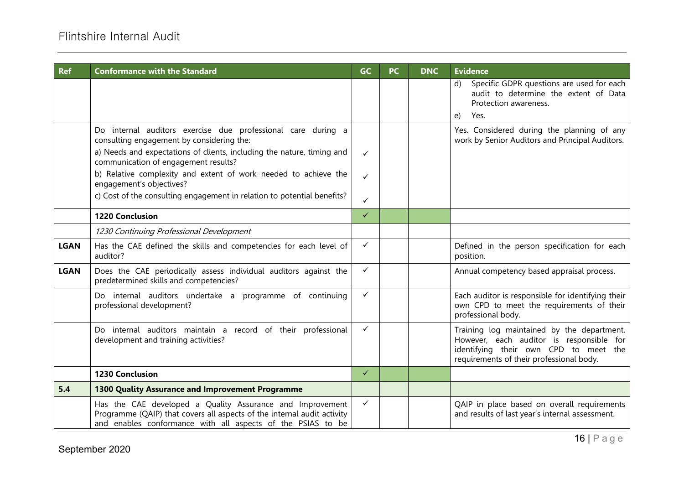| <b>Ref</b>  | <b>Conformance with the Standard</b>                                                                                                                                                                | <b>GC</b>    | <b>PC</b> | <b>DNC</b> | <b>Evidence</b>                                                                                                                                                             |
|-------------|-----------------------------------------------------------------------------------------------------------------------------------------------------------------------------------------------------|--------------|-----------|------------|-----------------------------------------------------------------------------------------------------------------------------------------------------------------------------|
|             |                                                                                                                                                                                                     |              |           |            | Specific GDPR questions are used for each<br>$\mathsf{d}$<br>audit to determine the extent of Data<br>Protection awareness.<br>Yes.<br>$\epsilon$                           |
|             | Do internal auditors exercise due professional care during a<br>consulting engagement by considering the:<br>a) Needs and expectations of clients, including the nature, timing and                 | $\checkmark$ |           |            | Yes. Considered during the planning of any<br>work by Senior Auditors and Principal Auditors.                                                                               |
|             | communication of engagement results?<br>b) Relative complexity and extent of work needed to achieve the<br>engagement's objectives?                                                                 | $\checkmark$ |           |            |                                                                                                                                                                             |
|             | c) Cost of the consulting engagement in relation to potential benefits?                                                                                                                             | ✓            |           |            |                                                                                                                                                                             |
|             | <b>1220 Conclusion</b>                                                                                                                                                                              | $\checkmark$ |           |            |                                                                                                                                                                             |
|             | 1230 Continuing Professional Development                                                                                                                                                            |              |           |            |                                                                                                                                                                             |
| <b>LGAN</b> | Has the CAE defined the skills and competencies for each level of<br>auditor?                                                                                                                       | $\checkmark$ |           |            | Defined in the person specification for each<br>position.                                                                                                                   |
| <b>LGAN</b> | Does the CAE periodically assess individual auditors against the<br>predetermined skills and competencies?                                                                                          | $\checkmark$ |           |            | Annual competency based appraisal process.                                                                                                                                  |
|             | Do internal auditors undertake a programme of continuing<br>professional development?                                                                                                               | $\checkmark$ |           |            | Each auditor is responsible for identifying their<br>own CPD to meet the requirements of their<br>professional body.                                                        |
|             | Do internal auditors maintain a record of their professional<br>development and training activities?                                                                                                | $\checkmark$ |           |            | Training log maintained by the department.<br>However, each auditor is responsible for<br>identifying their own CPD to meet the<br>requirements of their professional body. |
|             | <b>1230 Conclusion</b>                                                                                                                                                                              | $\checkmark$ |           |            |                                                                                                                                                                             |
| 5.4         | 1300 Quality Assurance and Improvement Programme                                                                                                                                                    |              |           |            |                                                                                                                                                                             |
|             | Has the CAE developed a Quality Assurance and Improvement<br>Programme (QAIP) that covers all aspects of the internal audit activity<br>and enables conformance with all aspects of the PSIAS to be | $\checkmark$ |           |            | QAIP in place based on overall requirements<br>and results of last year's internal assessment.                                                                              |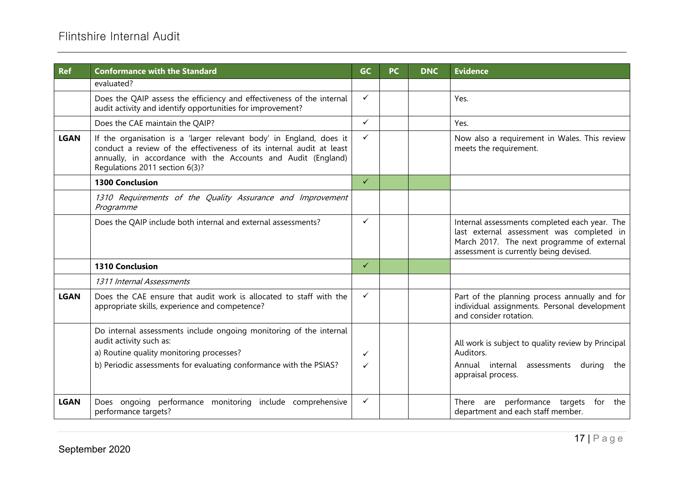| <b>Ref</b>  | <b>Conformance with the Standard</b>                                                                                                                                                                                                           | <b>GC</b>    | <b>PC</b> | <b>DNC</b> | <b>Evidence</b>                                                                                                                                                                    |
|-------------|------------------------------------------------------------------------------------------------------------------------------------------------------------------------------------------------------------------------------------------------|--------------|-----------|------------|------------------------------------------------------------------------------------------------------------------------------------------------------------------------------------|
|             | evaluated?                                                                                                                                                                                                                                     |              |           |            |                                                                                                                                                                                    |
|             | Does the QAIP assess the efficiency and effectiveness of the internal<br>audit activity and identify opportunities for improvement?                                                                                                            | $\checkmark$ |           |            | Yes.                                                                                                                                                                               |
|             | Does the CAE maintain the QAIP?                                                                                                                                                                                                                | $\checkmark$ |           |            | Yes.                                                                                                                                                                               |
| <b>LGAN</b> | If the organisation is a 'larger relevant body' in England, does it<br>conduct a review of the effectiveness of its internal audit at least<br>annually, in accordance with the Accounts and Audit (England)<br>Regulations 2011 section 6(3)? | $\checkmark$ |           |            | Now also a requirement in Wales. This review<br>meets the requirement.                                                                                                             |
|             | <b>1300 Conclusion</b>                                                                                                                                                                                                                         | $\checkmark$ |           |            |                                                                                                                                                                                    |
|             | 1310 Requirements of the Quality Assurance and Improvement<br>Programme                                                                                                                                                                        |              |           |            |                                                                                                                                                                                    |
|             | Does the QAIP include both internal and external assessments?                                                                                                                                                                                  | $\checkmark$ |           |            | Internal assessments completed each year. The<br>last external assessment was completed in<br>March 2017. The next programme of external<br>assessment is currently being devised. |
|             | <b>1310 Conclusion</b>                                                                                                                                                                                                                         | $\checkmark$ |           |            |                                                                                                                                                                                    |
|             | 1311 Internal Assessments                                                                                                                                                                                                                      |              |           |            |                                                                                                                                                                                    |
| <b>LGAN</b> | Does the CAE ensure that audit work is allocated to staff with the<br>appropriate skills, experience and competence?                                                                                                                           | $\checkmark$ |           |            | Part of the planning process annually and for<br>individual assignments. Personal development<br>and consider rotation.                                                            |
|             | Do internal assessments include ongoing monitoring of the internal<br>audit activity such as:<br>a) Routine quality monitoring processes?<br>b) Periodic assessments for evaluating conformance with the PSIAS?                                | ✓<br>✓       |           |            | All work is subject to quality review by Principal<br>Auditors.<br>Annual internal assessments during<br>the<br>appraisal process.                                                 |
| <b>LGAN</b> | Does ongoing performance monitoring include comprehensive<br>performance targets?                                                                                                                                                              | $\checkmark$ |           |            | performance targets<br>for<br>the<br>are<br>There<br>department and each staff member.                                                                                             |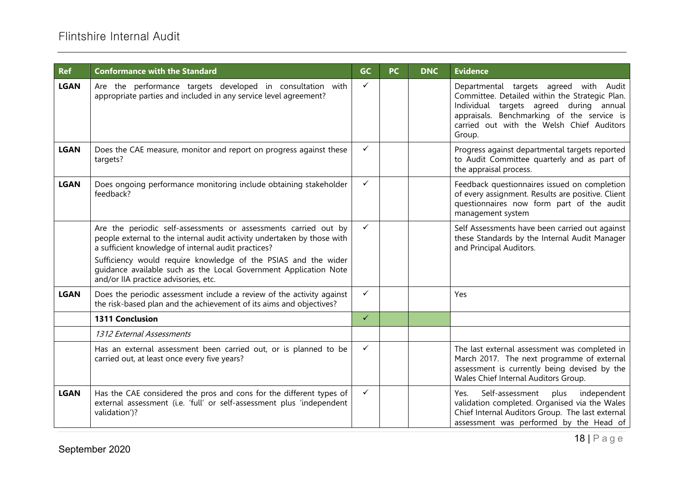# Flintshire Internal Audit

| <b>Ref</b>  | <b>Conformance with the Standard</b>                                                                                                                                                                                                                                                                                                                                            | <b>GC</b>    | <b>PC</b> | <b>DNC</b> | <b>Evidence</b>                                                                                                                                                                                                                          |
|-------------|---------------------------------------------------------------------------------------------------------------------------------------------------------------------------------------------------------------------------------------------------------------------------------------------------------------------------------------------------------------------------------|--------------|-----------|------------|------------------------------------------------------------------------------------------------------------------------------------------------------------------------------------------------------------------------------------------|
| <b>LGAN</b> | Are the performance targets developed in consultation with<br>appropriate parties and included in any service level agreement?                                                                                                                                                                                                                                                  | $\checkmark$ |           |            | Departmental targets agreed with Audit<br>Committee. Detailed within the Strategic Plan.<br>Individual targets agreed during annual<br>appraisals. Benchmarking of the service is<br>carried out with the Welsh Chief Auditors<br>Group. |
| <b>LGAN</b> | Does the CAE measure, monitor and report on progress against these<br>targets?                                                                                                                                                                                                                                                                                                  | $\checkmark$ |           |            | Progress against departmental targets reported<br>to Audit Committee quarterly and as part of<br>the appraisal process.                                                                                                                  |
| <b>LGAN</b> | Does ongoing performance monitoring include obtaining stakeholder<br>feedback?                                                                                                                                                                                                                                                                                                  | $\checkmark$ |           |            | Feedback questionnaires issued on completion<br>of every assignment. Results are positive. Client<br>questionnaires now form part of the audit<br>management system                                                                      |
|             | Are the periodic self-assessments or assessments carried out by<br>people external to the internal audit activity undertaken by those with<br>a sufficient knowledge of internal audit practices?<br>Sufficiency would require knowledge of the PSIAS and the wider<br>quidance available such as the Local Government Application Note<br>and/or IIA practice advisories, etc. | $\checkmark$ |           |            | Self Assessments have been carried out against<br>these Standards by the Internal Audit Manager<br>and Principal Auditors.                                                                                                               |
| <b>LGAN</b> | Does the periodic assessment include a review of the activity against<br>the risk-based plan and the achievement of its aims and objectives?                                                                                                                                                                                                                                    | $\checkmark$ |           |            | Yes                                                                                                                                                                                                                                      |
|             | 1311 Conclusion                                                                                                                                                                                                                                                                                                                                                                 | $\checkmark$ |           |            |                                                                                                                                                                                                                                          |
|             | 1312 External Assessments                                                                                                                                                                                                                                                                                                                                                       |              |           |            |                                                                                                                                                                                                                                          |
|             | Has an external assessment been carried out, or is planned to be<br>carried out, at least once every five years?                                                                                                                                                                                                                                                                | $\checkmark$ |           |            | The last external assessment was completed in<br>March 2017. The next programme of external<br>assessment is currently being devised by the<br>Wales Chief Internal Auditors Group.                                                      |
| <b>LGAN</b> | Has the CAE considered the pros and cons for the different types of<br>external assessment (i.e. 'full' or self-assessment plus 'independent<br>validation')?                                                                                                                                                                                                                   | $\checkmark$ |           |            | Self-assessment<br>plus<br>independent<br>Yes.<br>validation completed. Organised via the Wales<br>Chief Internal Auditors Group. The last external<br>assessment was performed by the Head of                                           |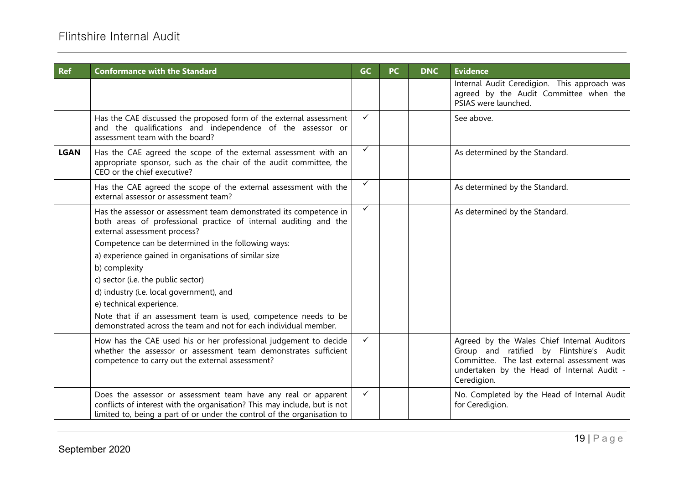| <b>Ref</b>  | <b>Conformance with the Standard</b>                                                                                                                                                                                   | <b>GC</b>    | <b>PC</b> | <b>DNC</b> | <b>Evidence</b>                                                                                                                                                                                     |
|-------------|------------------------------------------------------------------------------------------------------------------------------------------------------------------------------------------------------------------------|--------------|-----------|------------|-----------------------------------------------------------------------------------------------------------------------------------------------------------------------------------------------------|
|             |                                                                                                                                                                                                                        |              |           |            | Internal Audit Ceredigion. This approach was<br>agreed by the Audit Committee when the<br>PSIAS were launched.                                                                                      |
|             | Has the CAE discussed the proposed form of the external assessment<br>and the qualifications and independence of the assessor or<br>assessment team with the board?                                                    | $\checkmark$ |           |            | See above.                                                                                                                                                                                          |
| <b>LGAN</b> | Has the CAE agreed the scope of the external assessment with an<br>appropriate sponsor, such as the chair of the audit committee, the<br>CEO or the chief executive?                                                   | $\checkmark$ |           |            | As determined by the Standard.                                                                                                                                                                      |
|             | Has the CAE agreed the scope of the external assessment with the<br>external assessor or assessment team?                                                                                                              | $\checkmark$ |           |            | As determined by the Standard.                                                                                                                                                                      |
|             | Has the assessor or assessment team demonstrated its competence in<br>both areas of professional practice of internal auditing and the<br>external assessment process?                                                 | $\checkmark$ |           |            | As determined by the Standard.                                                                                                                                                                      |
|             | Competence can be determined in the following ways:                                                                                                                                                                    |              |           |            |                                                                                                                                                                                                     |
|             | a) experience gained in organisations of similar size                                                                                                                                                                  |              |           |            |                                                                                                                                                                                                     |
|             | b) complexity                                                                                                                                                                                                          |              |           |            |                                                                                                                                                                                                     |
|             | c) sector (i.e. the public sector)                                                                                                                                                                                     |              |           |            |                                                                                                                                                                                                     |
|             | d) industry (i.e. local government), and                                                                                                                                                                               |              |           |            |                                                                                                                                                                                                     |
|             | e) technical experience.                                                                                                                                                                                               |              |           |            |                                                                                                                                                                                                     |
|             | Note that if an assessment team is used, competence needs to be<br>demonstrated across the team and not for each individual member.                                                                                    |              |           |            |                                                                                                                                                                                                     |
|             | How has the CAE used his or her professional judgement to decide<br>whether the assessor or assessment team demonstrates sufficient<br>competence to carry out the external assessment?                                | $\checkmark$ |           |            | Agreed by the Wales Chief Internal Auditors<br>Group and ratified by Flintshire's Audit<br>Committee. The last external assessment was<br>undertaken by the Head of Internal Audit -<br>Ceredigion. |
|             | Does the assessor or assessment team have any real or apparent<br>conflicts of interest with the organisation? This may include, but is not<br>limited to, being a part of or under the control of the organisation to | $\checkmark$ |           |            | No. Completed by the Head of Internal Audit<br>for Ceredigion.                                                                                                                                      |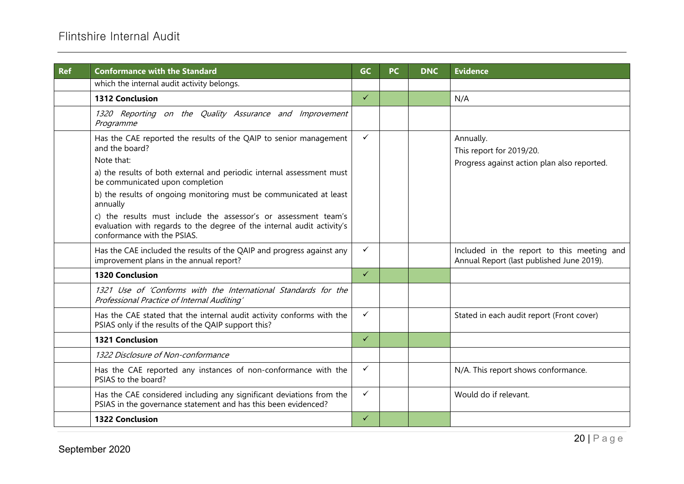| <b>Ref</b> | <b>Conformance with the Standard</b>                                                                                                                                     | <b>GC</b>    | <b>PC</b> | <b>DNC</b> | <b>Evidence</b>                                                                         |
|------------|--------------------------------------------------------------------------------------------------------------------------------------------------------------------------|--------------|-----------|------------|-----------------------------------------------------------------------------------------|
|            | which the internal audit activity belongs.                                                                                                                               |              |           |            |                                                                                         |
|            | <b>1312 Conclusion</b>                                                                                                                                                   | $\checkmark$ |           |            | N/A                                                                                     |
|            | 1320 Reporting on the Quality Assurance and Improvement<br>Programme                                                                                                     |              |           |            |                                                                                         |
|            | Has the CAE reported the results of the QAIP to senior management<br>and the board?                                                                                      | $\checkmark$ |           |            | Annually.<br>This report for 2019/20.                                                   |
|            | Note that:                                                                                                                                                               |              |           |            | Progress against action plan also reported.                                             |
|            | a) the results of both external and periodic internal assessment must<br>be communicated upon completion                                                                 |              |           |            |                                                                                         |
|            | b) the results of ongoing monitoring must be communicated at least<br>annually                                                                                           |              |           |            |                                                                                         |
|            | c) the results must include the assessor's or assessment team's<br>evaluation with regards to the degree of the internal audit activity's<br>conformance with the PSIAS. |              |           |            |                                                                                         |
|            | Has the CAE included the results of the QAIP and progress against any<br>improvement plans in the annual report?                                                         | $\checkmark$ |           |            | Included in the report to this meeting and<br>Annual Report (last published June 2019). |
|            | <b>1320 Conclusion</b>                                                                                                                                                   | $\checkmark$ |           |            |                                                                                         |
|            | 1321 Use of 'Conforms with the International Standards for the<br>Professional Practice of Internal Auditing'                                                            |              |           |            |                                                                                         |
|            | Has the CAE stated that the internal audit activity conforms with the<br>PSIAS only if the results of the QAIP support this?                                             | $\checkmark$ |           |            | Stated in each audit report (Front cover)                                               |
|            | <b>1321 Conclusion</b>                                                                                                                                                   | $\checkmark$ |           |            |                                                                                         |
|            | 1322 Disclosure of Non-conformance                                                                                                                                       |              |           |            |                                                                                         |
|            | Has the CAE reported any instances of non-conformance with the<br>PSIAS to the board?                                                                                    | $\checkmark$ |           |            | N/A. This report shows conformance.                                                     |
|            | Has the CAE considered including any significant deviations from the<br>PSIAS in the governance statement and has this been evidenced?                                   | $\checkmark$ |           |            | Would do if relevant.                                                                   |
|            | <b>1322 Conclusion</b>                                                                                                                                                   | $\checkmark$ |           |            |                                                                                         |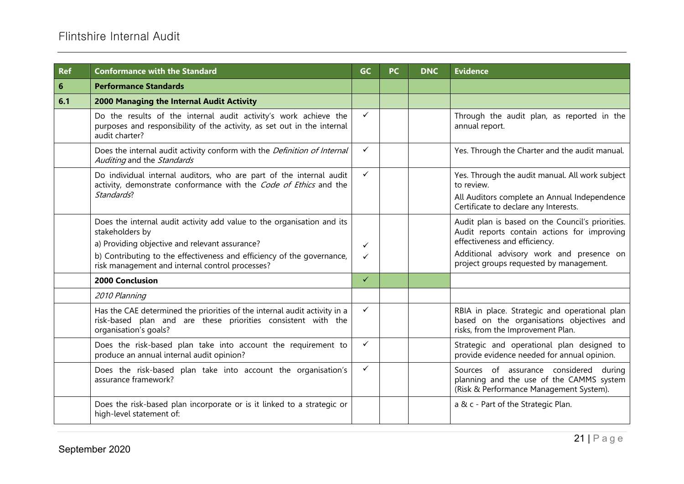| <b>Ref</b>     | <b>Conformance with the Standard</b>                                                                                                                                                                                                                                     | <b>GC</b>    | <b>PC</b> | <b>DNC</b> | <b>Evidence</b>                                                                                                                                                                                                         |
|----------------|--------------------------------------------------------------------------------------------------------------------------------------------------------------------------------------------------------------------------------------------------------------------------|--------------|-----------|------------|-------------------------------------------------------------------------------------------------------------------------------------------------------------------------------------------------------------------------|
| $6\phantom{1}$ | <b>Performance Standards</b>                                                                                                                                                                                                                                             |              |           |            |                                                                                                                                                                                                                         |
| 6.1            | 2000 Managing the Internal Audit Activity                                                                                                                                                                                                                                |              |           |            |                                                                                                                                                                                                                         |
|                | Do the results of the internal audit activity's work achieve the<br>purposes and responsibility of the activity, as set out in the internal<br>audit charter?                                                                                                            | $\checkmark$ |           |            | Through the audit plan, as reported in the<br>annual report.                                                                                                                                                            |
|                | Does the internal audit activity conform with the Definition of Internal<br>Auditing and the Standards                                                                                                                                                                   | ✓            |           |            | Yes. Through the Charter and the audit manual.                                                                                                                                                                          |
|                | Do individual internal auditors, who are part of the internal audit<br>activity, demonstrate conformance with the Code of Ethics and the<br>Standards?                                                                                                                   | ✓            |           |            | Yes. Through the audit manual. All work subject<br>to review.<br>All Auditors complete an Annual Independence<br>Certificate to declare any Interests.                                                                  |
|                | Does the internal audit activity add value to the organisation and its<br>stakeholders by<br>a) Providing objective and relevant assurance?<br>b) Contributing to the effectiveness and efficiency of the governance,<br>risk management and internal control processes? | ✓<br>✓       |           |            | Audit plan is based on the Council's priorities.<br>Audit reports contain actions for improving<br>effectiveness and efficiency.<br>Additional advisory work and presence on<br>project groups requested by management. |
|                | <b>2000 Conclusion</b>                                                                                                                                                                                                                                                   | $\checkmark$ |           |            |                                                                                                                                                                                                                         |
|                | 2010 Planning                                                                                                                                                                                                                                                            |              |           |            |                                                                                                                                                                                                                         |
|                | Has the CAE determined the priorities of the internal audit activity in a<br>risk-based plan and are these priorities consistent with the<br>organisation's goals?                                                                                                       | ✓            |           |            | RBIA in place. Strategic and operational plan<br>based on the organisations objectives and<br>risks, from the Improvement Plan.                                                                                         |
|                | Does the risk-based plan take into account the requirement to<br>produce an annual internal audit opinion?                                                                                                                                                               | ✓            |           |            | Strategic and operational plan designed to<br>provide evidence needed for annual opinion.                                                                                                                               |
|                | Does the risk-based plan take into account the organisation's<br>assurance framework?                                                                                                                                                                                    | $\checkmark$ |           |            | Sources of assurance considered during<br>planning and the use of the CAMMS system<br>(Risk & Performance Management System).                                                                                           |
|                | Does the risk-based plan incorporate or is it linked to a strategic or<br>high-level statement of:                                                                                                                                                                       |              |           |            | a & c - Part of the Strategic Plan.                                                                                                                                                                                     |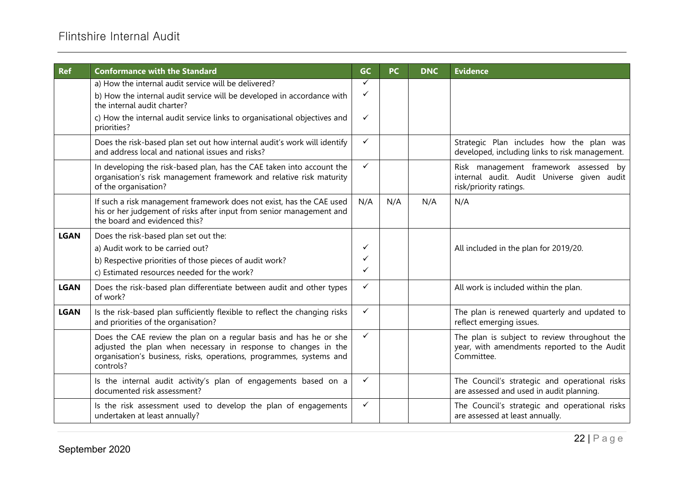| <b>Ref</b>  | <b>Conformance with the Standard</b>                                                                                                                                                                                    | <b>GC</b>    | <b>PC</b> | <b>DNC</b> | <b>Evidence</b>                                                                                               |
|-------------|-------------------------------------------------------------------------------------------------------------------------------------------------------------------------------------------------------------------------|--------------|-----------|------------|---------------------------------------------------------------------------------------------------------------|
|             | a) How the internal audit service will be delivered?                                                                                                                                                                    | $\checkmark$ |           |            |                                                                                                               |
|             | b) How the internal audit service will be developed in accordance with<br>the internal audit charter?                                                                                                                   | ✓            |           |            |                                                                                                               |
|             | c) How the internal audit service links to organisational objectives and<br>priorities?                                                                                                                                 | ✓            |           |            |                                                                                                               |
|             | Does the risk-based plan set out how internal audit's work will identify<br>and address local and national issues and risks?                                                                                            | $\checkmark$ |           |            | Strategic Plan includes how the plan was<br>developed, including links to risk management.                    |
|             | In developing the risk-based plan, has the CAE taken into account the<br>organisation's risk management framework and relative risk maturity<br>of the organisation?                                                    | $\checkmark$ |           |            | Risk management framework assessed by<br>internal audit. Audit Universe given audit<br>risk/priority ratings. |
|             | If such a risk management framework does not exist, has the CAE used<br>his or her judgement of risks after input from senior management and<br>the board and evidenced this?                                           | N/A          | N/A       | N/A        | N/A                                                                                                           |
| <b>LGAN</b> | Does the risk-based plan set out the:                                                                                                                                                                                   |              |           |            |                                                                                                               |
|             | a) Audit work to be carried out?                                                                                                                                                                                        | ✓            |           |            | All included in the plan for 2019/20.                                                                         |
|             | b) Respective priorities of those pieces of audit work?                                                                                                                                                                 | ✓            |           |            |                                                                                                               |
|             | c) Estimated resources needed for the work?                                                                                                                                                                             | $\checkmark$ |           |            |                                                                                                               |
| <b>LGAN</b> | Does the risk-based plan differentiate between audit and other types<br>of work?                                                                                                                                        | ✓            |           |            | All work is included within the plan.                                                                         |
| <b>LGAN</b> | Is the risk-based plan sufficiently flexible to reflect the changing risks<br>and priorities of the organisation?                                                                                                       | $\checkmark$ |           |            | The plan is renewed quarterly and updated to<br>reflect emerging issues.                                      |
|             | Does the CAE review the plan on a regular basis and has he or she<br>adjusted the plan when necessary in response to changes in the<br>organisation's business, risks, operations, programmes, systems and<br>controls? | $\checkmark$ |           |            | The plan is subject to review throughout the<br>year, with amendments reported to the Audit<br>Committee.     |
|             | Is the internal audit activity's plan of engagements based on a<br>documented risk assessment?                                                                                                                          | $\checkmark$ |           |            | The Council's strategic and operational risks<br>are assessed and used in audit planning.                     |
|             | Is the risk assessment used to develop the plan of engagements<br>undertaken at least annually?                                                                                                                         | $\checkmark$ |           |            | The Council's strategic and operational risks<br>are assessed at least annually.                              |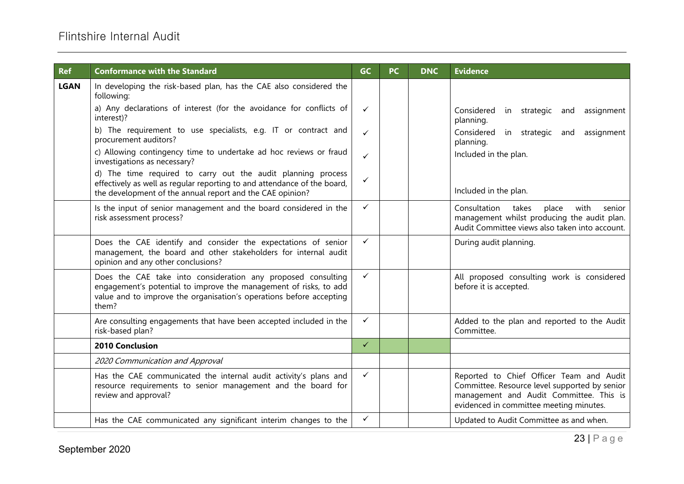| <b>Ref</b>  | <b>Conformance with the Standard</b>                                                                                                                                                                              | <b>GC</b>    | <b>PC</b> | <b>DNC</b> | <b>Evidence</b>                                                                                                                                                                 |
|-------------|-------------------------------------------------------------------------------------------------------------------------------------------------------------------------------------------------------------------|--------------|-----------|------------|---------------------------------------------------------------------------------------------------------------------------------------------------------------------------------|
| <b>LGAN</b> | In developing the risk-based plan, has the CAE also considered the<br>following:                                                                                                                                  |              |           |            |                                                                                                                                                                                 |
|             | a) Any declarations of interest (for the avoidance for conflicts of<br>interest)?                                                                                                                                 | $\checkmark$ |           |            | Considered in strategic and<br>assignment<br>planning.                                                                                                                          |
|             | b) The requirement to use specialists, e.g. IT or contract and<br>procurement auditors?                                                                                                                           | $\checkmark$ |           |            | Considered in strategic and<br>assignment<br>planning.                                                                                                                          |
|             | c) Allowing contingency time to undertake ad hoc reviews or fraud<br>investigations as necessary?                                                                                                                 | $\checkmark$ |           |            | Included in the plan.                                                                                                                                                           |
|             | d) The time required to carry out the audit planning process<br>effectively as well as regular reporting to and attendance of the board,<br>the development of the annual report and the CAE opinion?             | ✓            |           |            | Included in the plan.                                                                                                                                                           |
|             | Is the input of senior management and the board considered in the<br>risk assessment process?                                                                                                                     | $\checkmark$ |           |            | with<br>Consultation<br>takes<br>place<br>senior<br>management whilst producing the audit plan.<br>Audit Committee views also taken into account.                               |
|             | Does the CAE identify and consider the expectations of senior<br>management, the board and other stakeholders for internal audit<br>opinion and any other conclusions?                                            | $\checkmark$ |           |            | During audit planning.                                                                                                                                                          |
|             | Does the CAE take into consideration any proposed consulting<br>engagement's potential to improve the management of risks, to add<br>value and to improve the organisation's operations before accepting<br>them? | $\checkmark$ |           |            | All proposed consulting work is considered<br>before it is accepted.                                                                                                            |
|             | Are consulting engagements that have been accepted included in the<br>risk-based plan?                                                                                                                            | $\checkmark$ |           |            | Added to the plan and reported to the Audit<br>Committee.                                                                                                                       |
|             | 2010 Conclusion                                                                                                                                                                                                   | $\checkmark$ |           |            |                                                                                                                                                                                 |
|             | 2020 Communication and Approval                                                                                                                                                                                   |              |           |            |                                                                                                                                                                                 |
|             | Has the CAE communicated the internal audit activity's plans and<br>resource requirements to senior management and the board for<br>review and approval?                                                          | $\checkmark$ |           |            | Reported to Chief Officer Team and Audit<br>Committee. Resource level supported by senior<br>management and Audit Committee. This is<br>evidenced in committee meeting minutes. |
|             | Has the CAE communicated any significant interim changes to the                                                                                                                                                   | $\checkmark$ |           |            | Updated to Audit Committee as and when.                                                                                                                                         |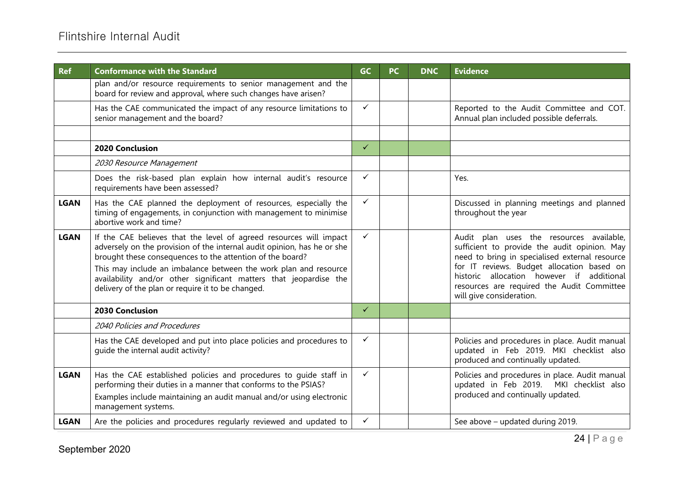| <b>Ref</b>  | <b>Conformance with the Standard</b>                                                                                                                                                                                                                                                                                                                                                                     | <b>GC</b>    | PC | <b>DNC</b> | <b>Evidence</b>                                                                                                                                                                                                                                                                                                 |
|-------------|----------------------------------------------------------------------------------------------------------------------------------------------------------------------------------------------------------------------------------------------------------------------------------------------------------------------------------------------------------------------------------------------------------|--------------|----|------------|-----------------------------------------------------------------------------------------------------------------------------------------------------------------------------------------------------------------------------------------------------------------------------------------------------------------|
|             | plan and/or resource requirements to senior management and the<br>board for review and approval, where such changes have arisen?                                                                                                                                                                                                                                                                         |              |    |            |                                                                                                                                                                                                                                                                                                                 |
|             | Has the CAE communicated the impact of any resource limitations to<br>senior management and the board?                                                                                                                                                                                                                                                                                                   | $\checkmark$ |    |            | Reported to the Audit Committee and COT.<br>Annual plan included possible deferrals.                                                                                                                                                                                                                            |
|             |                                                                                                                                                                                                                                                                                                                                                                                                          |              |    |            |                                                                                                                                                                                                                                                                                                                 |
|             | 2020 Conclusion                                                                                                                                                                                                                                                                                                                                                                                          | $\checkmark$ |    |            |                                                                                                                                                                                                                                                                                                                 |
|             | 2030 Resource Management                                                                                                                                                                                                                                                                                                                                                                                 |              |    |            |                                                                                                                                                                                                                                                                                                                 |
|             | Does the risk-based plan explain how internal audit's resource<br>requirements have been assessed?                                                                                                                                                                                                                                                                                                       | $\checkmark$ |    |            | Yes.                                                                                                                                                                                                                                                                                                            |
| <b>LGAN</b> | Has the CAE planned the deployment of resources, especially the<br>timing of engagements, in conjunction with management to minimise<br>abortive work and time?                                                                                                                                                                                                                                          | $\checkmark$ |    |            | Discussed in planning meetings and planned<br>throughout the year                                                                                                                                                                                                                                               |
| <b>LGAN</b> | If the CAE believes that the level of agreed resources will impact<br>adversely on the provision of the internal audit opinion, has he or she<br>brought these consequences to the attention of the board?<br>This may include an imbalance between the work plan and resource<br>availability and/or other significant matters that jeopardise the<br>delivery of the plan or require it to be changed. | $\checkmark$ |    |            | Audit plan uses the resources available,<br>sufficient to provide the audit opinion. May<br>need to bring in specialised external resource<br>for IT reviews. Budget allocation based on<br>historic allocation however if additional<br>resources are required the Audit Committee<br>will give consideration. |
|             | 2030 Conclusion                                                                                                                                                                                                                                                                                                                                                                                          | $\checkmark$ |    |            |                                                                                                                                                                                                                                                                                                                 |
|             | 2040 Policies and Procedures                                                                                                                                                                                                                                                                                                                                                                             |              |    |            |                                                                                                                                                                                                                                                                                                                 |
|             | Has the CAE developed and put into place policies and procedures to<br>quide the internal audit activity?                                                                                                                                                                                                                                                                                                | $\checkmark$ |    |            | Policies and procedures in place. Audit manual<br>updated in Feb 2019. MKI checklist also<br>produced and continually updated.                                                                                                                                                                                  |
| <b>LGAN</b> | Has the CAE established policies and procedures to guide staff in<br>performing their duties in a manner that conforms to the PSIAS?<br>Examples include maintaining an audit manual and/or using electronic<br>management systems.                                                                                                                                                                      | ✓            |    |            | Policies and procedures in place. Audit manual<br>updated in Feb 2019. MKI checklist also<br>produced and continually updated.                                                                                                                                                                                  |
| <b>LGAN</b> | Are the policies and procedures regularly reviewed and updated to                                                                                                                                                                                                                                                                                                                                        | ✓            |    |            | See above - updated during 2019.                                                                                                                                                                                                                                                                                |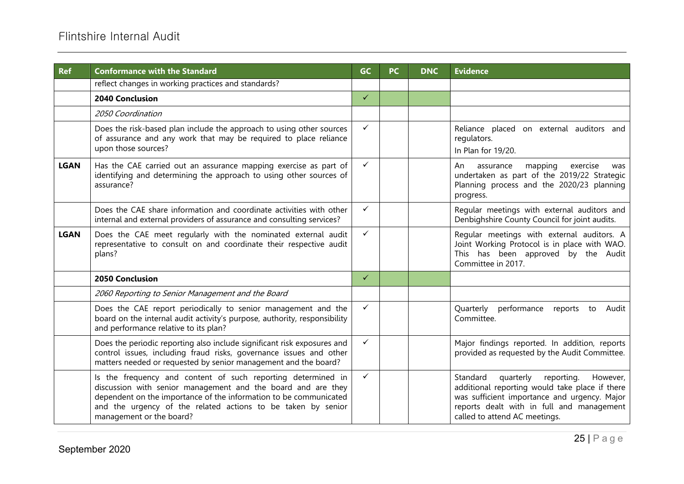| <b>Ref</b>  | <b>Conformance with the Standard</b>                                                                                                                                                                                                                                                          | GC           | <b>PC</b> | <b>DNC</b> | <b>Evidence</b>                                                                                                                                                                                                                 |
|-------------|-----------------------------------------------------------------------------------------------------------------------------------------------------------------------------------------------------------------------------------------------------------------------------------------------|--------------|-----------|------------|---------------------------------------------------------------------------------------------------------------------------------------------------------------------------------------------------------------------------------|
|             | reflect changes in working practices and standards?                                                                                                                                                                                                                                           |              |           |            |                                                                                                                                                                                                                                 |
|             | 2040 Conclusion                                                                                                                                                                                                                                                                               | $\checkmark$ |           |            |                                                                                                                                                                                                                                 |
|             | 2050 Coordination                                                                                                                                                                                                                                                                             |              |           |            |                                                                                                                                                                                                                                 |
|             | Does the risk-based plan include the approach to using other sources<br>of assurance and any work that may be required to place reliance<br>upon those sources?                                                                                                                               | $\checkmark$ |           |            | Reliance placed on external auditors and<br>regulators.<br>In Plan for 19/20.                                                                                                                                                   |
| <b>LGAN</b> | Has the CAE carried out an assurance mapping exercise as part of<br>identifying and determining the approach to using other sources of<br>assurance?                                                                                                                                          | ✓            |           |            | An<br>assurance<br>mapping<br>exercise<br>was<br>undertaken as part of the 2019/22 Strategic<br>Planning process and the 2020/23 planning<br>progress.                                                                          |
|             | Does the CAE share information and coordinate activities with other<br>internal and external providers of assurance and consulting services?                                                                                                                                                  | ✓            |           |            | Regular meetings with external auditors and<br>Denbighshire County Council for joint audits.                                                                                                                                    |
| <b>LGAN</b> | Does the CAE meet regularly with the nominated external audit<br>representative to consult on and coordinate their respective audit<br>plans?                                                                                                                                                 | $\checkmark$ |           |            | Regular meetings with external auditors. A<br>Joint Working Protocol is in place with WAO.<br>This has been approved by the Audit<br>Committee in 2017.                                                                         |
|             | <b>2050 Conclusion</b>                                                                                                                                                                                                                                                                        | $\checkmark$ |           |            |                                                                                                                                                                                                                                 |
|             | 2060 Reporting to Senior Management and the Board                                                                                                                                                                                                                                             |              |           |            |                                                                                                                                                                                                                                 |
|             | Does the CAE report periodically to senior management and the<br>board on the internal audit activity's purpose, authority, responsibility<br>and performance relative to its plan?                                                                                                           | $\checkmark$ |           |            | performance reports to Audit<br>Quarterly<br>Committee.                                                                                                                                                                         |
|             | Does the periodic reporting also include significant risk exposures and<br>control issues, including fraud risks, governance issues and other<br>matters needed or requested by senior management and the board?                                                                              | $\checkmark$ |           |            | Major findings reported. In addition, reports<br>provided as requested by the Audit Committee.                                                                                                                                  |
|             | Is the frequency and content of such reporting determined in<br>discussion with senior management and the board and are they<br>dependent on the importance of the information to be communicated<br>and the urgency of the related actions to be taken by senior<br>management or the board? | $\checkmark$ |           |            | quarterly<br>Standard<br>reporting.<br>However,<br>additional reporting would take place if there<br>was sufficient importance and urgency. Major<br>reports dealt with in full and management<br>called to attend AC meetings. |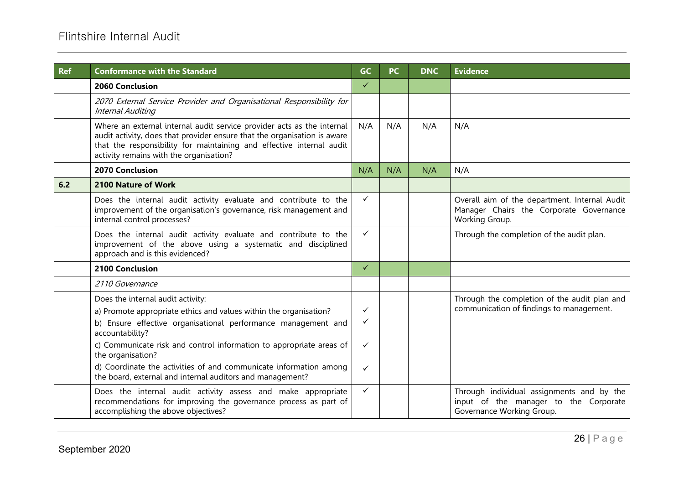| <b>Ref</b> | <b>Conformance with the Standard</b>                                                                                                                                                                                                                                  | <b>GC</b>    | <b>PC</b> | <b>DNC</b> | <b>Evidence</b>                                                                                                 |
|------------|-----------------------------------------------------------------------------------------------------------------------------------------------------------------------------------------------------------------------------------------------------------------------|--------------|-----------|------------|-----------------------------------------------------------------------------------------------------------------|
|            | 2060 Conclusion                                                                                                                                                                                                                                                       | $\checkmark$ |           |            |                                                                                                                 |
|            | 2070 External Service Provider and Organisational Responsibility for<br>Internal Auditing                                                                                                                                                                             |              |           |            |                                                                                                                 |
|            | Where an external internal audit service provider acts as the internal<br>audit activity, does that provider ensure that the organisation is aware<br>that the responsibility for maintaining and effective internal audit<br>activity remains with the organisation? | N/A          | N/A       | N/A        | N/A                                                                                                             |
|            | <b>2070 Conclusion</b>                                                                                                                                                                                                                                                | N/A          | N/A       | N/A        | N/A                                                                                                             |
| 6.2        | 2100 Nature of Work                                                                                                                                                                                                                                                   |              |           |            |                                                                                                                 |
|            | Does the internal audit activity evaluate and contribute to the<br>improvement of the organisation's governance, risk management and<br>internal control processes?                                                                                                   | $\checkmark$ |           |            | Overall aim of the department. Internal Audit<br>Manager Chairs the Corporate Governance<br>Working Group.      |
|            | Does the internal audit activity evaluate and contribute to the<br>improvement of the above using a systematic and disciplined<br>approach and is this evidenced?                                                                                                     | $\checkmark$ |           |            | Through the completion of the audit plan.                                                                       |
|            | 2100 Conclusion                                                                                                                                                                                                                                                       | $\checkmark$ |           |            |                                                                                                                 |
|            | 2110 Governance                                                                                                                                                                                                                                                       |              |           |            |                                                                                                                 |
|            | Does the internal audit activity:<br>a) Promote appropriate ethics and values within the organisation?<br>b) Ensure effective organisational performance management and<br>accountability?                                                                            | ✓<br>✓       |           |            | Through the completion of the audit plan and<br>communication of findings to management.                        |
|            | c) Communicate risk and control information to appropriate areas of<br>the organisation?                                                                                                                                                                              | ✓            |           |            |                                                                                                                 |
|            | d) Coordinate the activities of and communicate information among<br>the board, external and internal auditors and management?                                                                                                                                        | ✓            |           |            |                                                                                                                 |
|            | Does the internal audit activity assess and make appropriate<br>recommendations for improving the governance process as part of<br>accomplishing the above objectives?                                                                                                | $\checkmark$ |           |            | Through individual assignments and by the<br>input of the manager to the Corporate<br>Governance Working Group. |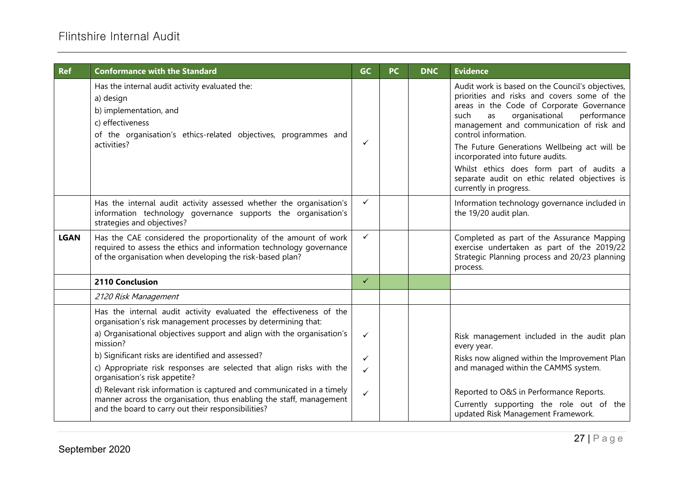| <b>Ref</b>  | <b>Conformance with the Standard</b>                                                                                                                                                                | <b>GC</b>    | <b>PC</b> | <b>DNC</b> | <b>Evidence</b>                                                                                                                                                                                                                                                                                                                                                                                                                                                            |
|-------------|-----------------------------------------------------------------------------------------------------------------------------------------------------------------------------------------------------|--------------|-----------|------------|----------------------------------------------------------------------------------------------------------------------------------------------------------------------------------------------------------------------------------------------------------------------------------------------------------------------------------------------------------------------------------------------------------------------------------------------------------------------------|
|             | Has the internal audit activity evaluated the:<br>a) design<br>b) implementation, and<br>c) effectiveness<br>of the organisation's ethics-related objectives, programmes and<br>activities?         | $\checkmark$ |           |            | Audit work is based on the Council's objectives,<br>priorities and risks and covers some of the<br>areas in the Code of Corporate Governance<br>organisational<br>performance<br>such<br>as<br>management and communication of risk and<br>control information.<br>The Future Generations Wellbeing act will be<br>incorporated into future audits.<br>Whilst ethics does form part of audits a<br>separate audit on ethic related objectives is<br>currently in progress. |
|             | Has the internal audit activity assessed whether the organisation's<br>information technology governance supports the organisation's<br>strategies and objectives?                                  | $\checkmark$ |           |            | Information technology governance included in<br>the 19/20 audit plan.                                                                                                                                                                                                                                                                                                                                                                                                     |
| <b>LGAN</b> | Has the CAE considered the proportionality of the amount of work<br>required to assess the ethics and information technology governance<br>of the organisation when developing the risk-based plan? | $\checkmark$ |           |            | Completed as part of the Assurance Mapping<br>exercise undertaken as part of the 2019/22<br>Strategic Planning process and 20/23 planning<br>process.                                                                                                                                                                                                                                                                                                                      |
|             | 2110 Conclusion                                                                                                                                                                                     | $\checkmark$ |           |            |                                                                                                                                                                                                                                                                                                                                                                                                                                                                            |
|             | 2120 Risk Management                                                                                                                                                                                |              |           |            |                                                                                                                                                                                                                                                                                                                                                                                                                                                                            |
|             | Has the internal audit activity evaluated the effectiveness of the<br>organisation's risk management processes by determining that:                                                                 |              |           |            |                                                                                                                                                                                                                                                                                                                                                                                                                                                                            |
|             | a) Organisational objectives support and align with the organisation's<br>mission?                                                                                                                  | $\checkmark$ |           |            | Risk management included in the audit plan<br>every year.                                                                                                                                                                                                                                                                                                                                                                                                                  |
|             | b) Significant risks are identified and assessed?                                                                                                                                                   | ✓            |           |            | Risks now aligned within the Improvement Plan                                                                                                                                                                                                                                                                                                                                                                                                                              |
|             | c) Appropriate risk responses are selected that align risks with the<br>organisation's risk appetite?                                                                                               | $\checkmark$ |           |            | and managed within the CAMMS system.                                                                                                                                                                                                                                                                                                                                                                                                                                       |
|             | d) Relevant risk information is captured and communicated in a timely<br>manner across the organisation, thus enabling the staff, management<br>and the board to carry out their responsibilities?  | $\checkmark$ |           |            | Reported to O&S in Performance Reports.<br>Currently supporting the role out of the<br>updated Risk Management Framework.                                                                                                                                                                                                                                                                                                                                                  |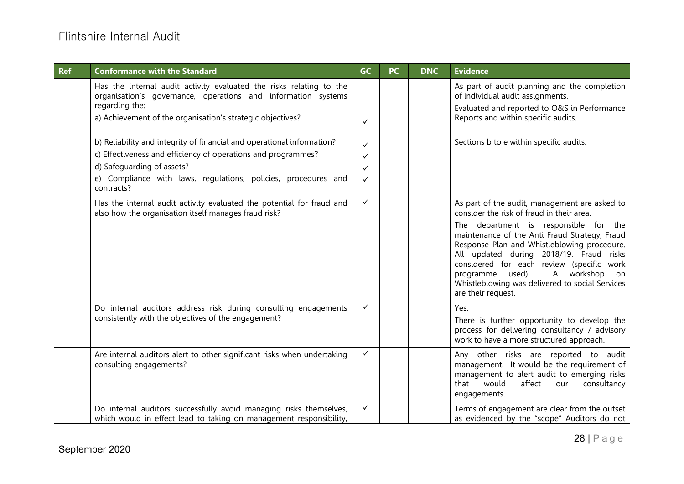| <b>Ref</b> | <b>Conformance with the Standard</b>                                                                                                                                                                                                                                                                                                                                                                                                                                          | GC                    | <b>PC</b> | <b>DNC</b> | <b>Evidence</b>                                                                                                                                                                                                                                                                                                                                                                                                                           |
|------------|-------------------------------------------------------------------------------------------------------------------------------------------------------------------------------------------------------------------------------------------------------------------------------------------------------------------------------------------------------------------------------------------------------------------------------------------------------------------------------|-----------------------|-----------|------------|-------------------------------------------------------------------------------------------------------------------------------------------------------------------------------------------------------------------------------------------------------------------------------------------------------------------------------------------------------------------------------------------------------------------------------------------|
|            | Has the internal audit activity evaluated the risks relating to the<br>organisation's governance, operations and information systems<br>regarding the:<br>a) Achievement of the organisation's strategic objectives?<br>b) Reliability and integrity of financial and operational information?<br>c) Effectiveness and efficiency of operations and programmes?<br>d) Safeguarding of assets?<br>e) Compliance with laws, regulations, policies, procedures and<br>contracts? | ✓<br>✓<br>✓<br>✓<br>✓ |           |            | As part of audit planning and the completion<br>of individual audit assignments.<br>Evaluated and reported to O&S in Performance<br>Reports and within specific audits.<br>Sections b to e within specific audits.                                                                                                                                                                                                                        |
|            | Has the internal audit activity evaluated the potential for fraud and<br>also how the organisation itself manages fraud risk?                                                                                                                                                                                                                                                                                                                                                 | $\checkmark$          |           |            | As part of the audit, management are asked to<br>consider the risk of fraud in their area.<br>The department is responsible for the<br>maintenance of the Anti Fraud Strategy, Fraud<br>Response Plan and Whistleblowing procedure.<br>All updated during 2018/19. Fraud risks<br>considered for each review (specific work<br>A workshop on<br>programme used).<br>Whistleblowing was delivered to social Services<br>are their request. |
|            | Do internal auditors address risk during consulting engagements<br>consistently with the objectives of the engagement?                                                                                                                                                                                                                                                                                                                                                        | $\checkmark$          |           |            | Yes.<br>There is further opportunity to develop the<br>process for delivering consultancy / advisory<br>work to have a more structured approach.                                                                                                                                                                                                                                                                                          |
|            | Are internal auditors alert to other significant risks when undertaking<br>consulting engagements?                                                                                                                                                                                                                                                                                                                                                                            | $\checkmark$          |           |            | Any other risks are reported to audit<br>management. It would be the requirement of<br>management to alert audit to emerging risks<br>consultancy<br>that<br>would<br>affect<br>our<br>engagements.                                                                                                                                                                                                                                       |
|            | Do internal auditors successfully avoid managing risks themselves,<br>which would in effect lead to taking on management responsibility,                                                                                                                                                                                                                                                                                                                                      | ✓                     |           |            | Terms of engagement are clear from the outset<br>as evidenced by the "scope" Auditors do not                                                                                                                                                                                                                                                                                                                                              |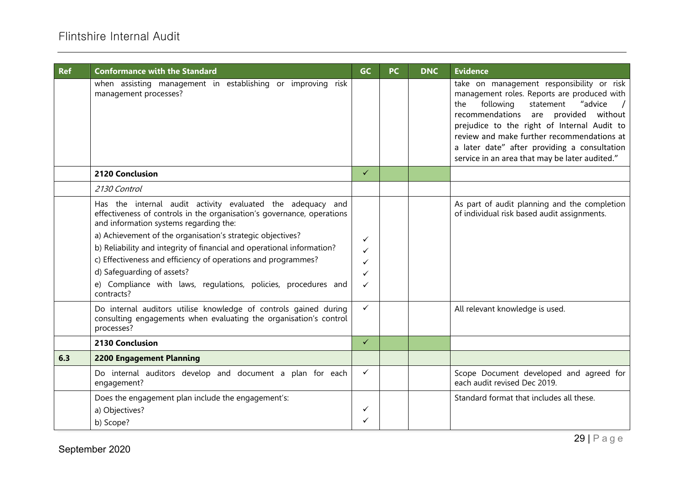| <b>Ref</b> | <b>Conformance with the Standard</b>                                                                                                                                                                                                                                                                                                                                                                                                                                                                                                                                                                                                           | GC                               | <b>PC</b> | <b>DNC</b> | <b>Evidence</b>                                                                                                                                                                                                                                                                                                                                                             |
|------------|------------------------------------------------------------------------------------------------------------------------------------------------------------------------------------------------------------------------------------------------------------------------------------------------------------------------------------------------------------------------------------------------------------------------------------------------------------------------------------------------------------------------------------------------------------------------------------------------------------------------------------------------|----------------------------------|-----------|------------|-----------------------------------------------------------------------------------------------------------------------------------------------------------------------------------------------------------------------------------------------------------------------------------------------------------------------------------------------------------------------------|
|            | when assisting management in establishing or improving risk<br>management processes?                                                                                                                                                                                                                                                                                                                                                                                                                                                                                                                                                           |                                  |           |            | take on management responsibility or risk<br>management roles. Reports are produced with<br>following<br>"advice<br>statement<br>the<br>recommendations are provided without<br>prejudice to the right of Internal Audit to<br>review and make further recommendations at<br>a later date" after providing a consultation<br>service in an area that may be later audited." |
|            | 2120 Conclusion                                                                                                                                                                                                                                                                                                                                                                                                                                                                                                                                                                                                                                | ✓                                |           |            |                                                                                                                                                                                                                                                                                                                                                                             |
|            | 2130 Control                                                                                                                                                                                                                                                                                                                                                                                                                                                                                                                                                                                                                                   |                                  |           |            |                                                                                                                                                                                                                                                                                                                                                                             |
|            | Has the internal audit activity evaluated the adequacy and<br>effectiveness of controls in the organisation's governance, operations<br>and information systems regarding the:<br>a) Achievement of the organisation's strategic objectives?<br>b) Reliability and integrity of financial and operational information?<br>c) Effectiveness and efficiency of operations and programmes?<br>d) Safequarding of assets?<br>e) Compliance with laws, regulations, policies, procedures and<br>contracts?<br>Do internal auditors utilise knowledge of controls gained during<br>consulting engagements when evaluating the organisation's control | ✓<br>✓<br>✓<br>✓<br>$\checkmark$ |           |            | As part of audit planning and the completion<br>of individual risk based audit assignments.<br>All relevant knowledge is used.                                                                                                                                                                                                                                              |
|            | processes?                                                                                                                                                                                                                                                                                                                                                                                                                                                                                                                                                                                                                                     |                                  |           |            |                                                                                                                                                                                                                                                                                                                                                                             |
|            | 2130 Conclusion                                                                                                                                                                                                                                                                                                                                                                                                                                                                                                                                                                                                                                | $\checkmark$                     |           |            |                                                                                                                                                                                                                                                                                                                                                                             |
| 6.3        | <b>2200 Engagement Planning</b>                                                                                                                                                                                                                                                                                                                                                                                                                                                                                                                                                                                                                |                                  |           |            |                                                                                                                                                                                                                                                                                                                                                                             |
|            | Do internal auditors develop and document a plan for each<br>engagement?                                                                                                                                                                                                                                                                                                                                                                                                                                                                                                                                                                       | $\checkmark$                     |           |            | Scope Document developed and agreed for<br>each audit revised Dec 2019.                                                                                                                                                                                                                                                                                                     |
|            | Does the engagement plan include the engagement's:<br>a) Objectives?<br>b) Scope?                                                                                                                                                                                                                                                                                                                                                                                                                                                                                                                                                              | ✓<br>✓                           |           |            | Standard format that includes all these.                                                                                                                                                                                                                                                                                                                                    |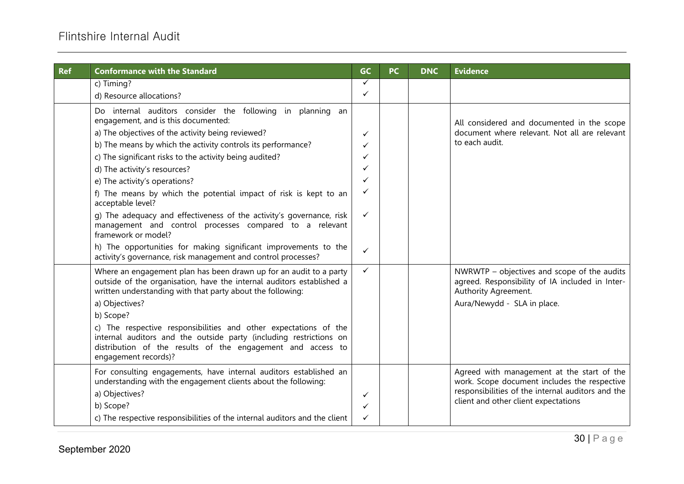| <b>Ref</b> | <b>Conformance with the Standard</b>                                                                                                                                                                                          | <b>GC</b>    | <b>PC</b> | <b>DNC</b> | <b>Evidence</b>                                                                                                                                                                         |
|------------|-------------------------------------------------------------------------------------------------------------------------------------------------------------------------------------------------------------------------------|--------------|-----------|------------|-----------------------------------------------------------------------------------------------------------------------------------------------------------------------------------------|
|            | c) Timing?                                                                                                                                                                                                                    | ✓            |           |            |                                                                                                                                                                                         |
|            | d) Resource allocations?                                                                                                                                                                                                      | $\checkmark$ |           |            |                                                                                                                                                                                         |
|            | Do internal auditors consider the following in planning an                                                                                                                                                                    |              |           |            |                                                                                                                                                                                         |
|            | engagement, and is this documented:                                                                                                                                                                                           |              |           |            | All considered and documented in the scope                                                                                                                                              |
|            | a) The objectives of the activity being reviewed?                                                                                                                                                                             | ✓            |           |            | document where relevant. Not all are relevant                                                                                                                                           |
|            | b) The means by which the activity controls its performance?                                                                                                                                                                  | ✓            |           |            | to each audit.                                                                                                                                                                          |
|            | c) The significant risks to the activity being audited?                                                                                                                                                                       | ✓            |           |            |                                                                                                                                                                                         |
|            | d) The activity's resources?                                                                                                                                                                                                  | ✓            |           |            |                                                                                                                                                                                         |
|            | e) The activity's operations?                                                                                                                                                                                                 | ✓            |           |            |                                                                                                                                                                                         |
|            | f) The means by which the potential impact of risk is kept to an<br>acceptable level?                                                                                                                                         | ✓            |           |            |                                                                                                                                                                                         |
|            | g) The adequacy and effectiveness of the activity's governance, risk<br>management and control processes compared to a relevant<br>framework or model?                                                                        | $\checkmark$ |           |            |                                                                                                                                                                                         |
|            | h) The opportunities for making significant improvements to the<br>activity's governance, risk management and control processes?                                                                                              | $\checkmark$ |           |            |                                                                                                                                                                                         |
|            | Where an engagement plan has been drawn up for an audit to a party<br>outside of the organisation, have the internal auditors established a<br>written understanding with that party about the following:                     | $\checkmark$ |           |            | NWRWTP - objectives and scope of the audits<br>agreed. Responsibility of IA included in Inter-<br>Authority Agreement.                                                                  |
|            | a) Objectives?                                                                                                                                                                                                                |              |           |            | Aura/Newydd - SLA in place.                                                                                                                                                             |
|            | b) Scope?                                                                                                                                                                                                                     |              |           |            |                                                                                                                                                                                         |
|            | c) The respective responsibilities and other expectations of the<br>internal auditors and the outside party (including restrictions on<br>distribution of the results of the engagement and access to<br>engagement records)? |              |           |            |                                                                                                                                                                                         |
|            | For consulting engagements, have internal auditors established an<br>understanding with the engagement clients about the following:                                                                                           |              |           |            | Agreed with management at the start of the<br>work. Scope document includes the respective<br>responsibilities of the internal auditors and the<br>client and other client expectations |
|            | a) Objectives?                                                                                                                                                                                                                | ✓            |           |            |                                                                                                                                                                                         |
|            | b) Scope?                                                                                                                                                                                                                     | ✓            |           |            |                                                                                                                                                                                         |
|            | c) The respective responsibilities of the internal auditors and the client                                                                                                                                                    | $\checkmark$ |           |            |                                                                                                                                                                                         |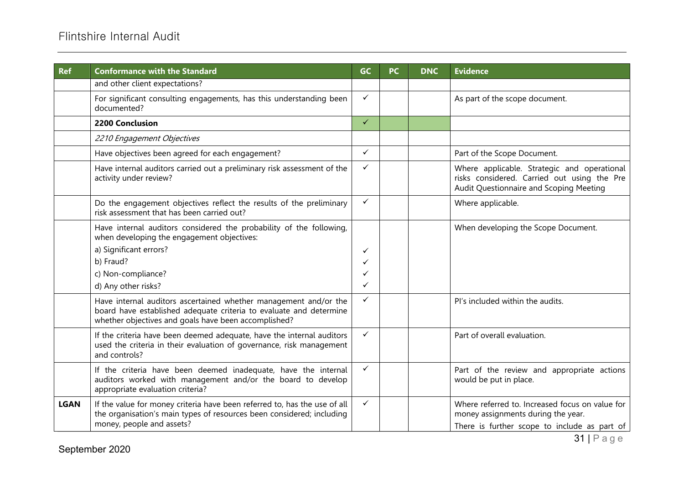# Flintshire Internal Audit

| <b>Ref</b>  | <b>Conformance with the Standard</b>                                                                                                                                                           | <b>GC</b>    | <b>PC</b> | <b>DNC</b> | <b>Evidence</b>                                                                                                                       |
|-------------|------------------------------------------------------------------------------------------------------------------------------------------------------------------------------------------------|--------------|-----------|------------|---------------------------------------------------------------------------------------------------------------------------------------|
|             | and other client expectations?                                                                                                                                                                 |              |           |            |                                                                                                                                       |
|             | For significant consulting engagements, has this understanding been<br>documented?                                                                                                             | ✓            |           |            | As part of the scope document.                                                                                                        |
|             | 2200 Conclusion                                                                                                                                                                                | $\checkmark$ |           |            |                                                                                                                                       |
|             | 2210 Engagement Objectives                                                                                                                                                                     |              |           |            |                                                                                                                                       |
|             | Have objectives been agreed for each engagement?                                                                                                                                               | ✓            |           |            | Part of the Scope Document.                                                                                                           |
|             | Have internal auditors carried out a preliminary risk assessment of the<br>activity under review?                                                                                              | ✓            |           |            | Where applicable. Strategic and operational<br>risks considered. Carried out using the Pre<br>Audit Questionnaire and Scoping Meeting |
|             | Do the engagement objectives reflect the results of the preliminary<br>risk assessment that has been carried out?                                                                              | $\checkmark$ |           |            | Where applicable.                                                                                                                     |
|             | Have internal auditors considered the probability of the following,<br>when developing the engagement objectives:                                                                              |              |           |            | When developing the Scope Document.                                                                                                   |
|             | a) Significant errors?                                                                                                                                                                         | ✓            |           |            |                                                                                                                                       |
|             | b) Fraud?                                                                                                                                                                                      | ✓            |           |            |                                                                                                                                       |
|             | c) Non-compliance?                                                                                                                                                                             | ✓            |           |            |                                                                                                                                       |
|             | d) Any other risks?                                                                                                                                                                            | ✓            |           |            |                                                                                                                                       |
|             | Have internal auditors ascertained whether management and/or the<br>board have established adequate criteria to evaluate and determine<br>whether objectives and goals have been accomplished? | ✓            |           |            | Pl's included within the audits.                                                                                                      |
|             | If the criteria have been deemed adequate, have the internal auditors<br>used the criteria in their evaluation of governance, risk management<br>and controls?                                 | ✓            |           |            | Part of overall evaluation.                                                                                                           |
|             | If the criteria have been deemed inadequate, have the internal<br>auditors worked with management and/or the board to develop<br>appropriate evaluation criteria?                              | $\checkmark$ |           |            | Part of the review and appropriate actions<br>would be put in place.                                                                  |
| <b>LGAN</b> | If the value for money criteria have been referred to, has the use of all<br>the organisation's main types of resources been considered; including<br>money, people and assets?                | $\checkmark$ |           |            | Where referred to. Increased focus on value for<br>money assignments during the year.<br>There is further scope to include as part of |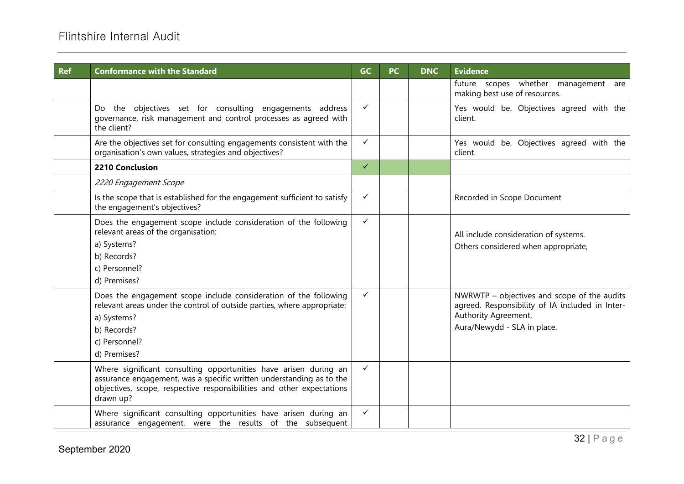| <b>Ref</b> | <b>Conformance with the Standard</b>                                                                                                                                                                                           | <b>GC</b>    | <b>PC</b> | <b>DNC</b> | <b>Evidence</b>                                                                                                                                       |
|------------|--------------------------------------------------------------------------------------------------------------------------------------------------------------------------------------------------------------------------------|--------------|-----------|------------|-------------------------------------------------------------------------------------------------------------------------------------------------------|
|            |                                                                                                                                                                                                                                |              |           |            | future scopes whether management are<br>making best use of resources.                                                                                 |
|            | Do the objectives set for consulting engagements address<br>governance, risk management and control processes as agreed with<br>the client?                                                                                    | $\checkmark$ |           |            | Yes would be. Objectives agreed with the<br>client.                                                                                                   |
|            | Are the objectives set for consulting engagements consistent with the<br>organisation's own values, strategies and objectives?                                                                                                 | $\checkmark$ |           |            | Yes would be. Objectives agreed with the<br>client.                                                                                                   |
|            | <b>2210 Conclusion</b>                                                                                                                                                                                                         | $\checkmark$ |           |            |                                                                                                                                                       |
|            | 2220 Engagement Scope                                                                                                                                                                                                          |              |           |            |                                                                                                                                                       |
|            | Is the scope that is established for the engagement sufficient to satisfy<br>the engagement's objectives?                                                                                                                      | $\checkmark$ |           |            | Recorded in Scope Document                                                                                                                            |
|            | Does the engagement scope include consideration of the following<br>relevant areas of the organisation:<br>a) Systems?<br>b) Records?<br>c) Personnel?<br>d) Premises?                                                         | $\checkmark$ |           |            | All include consideration of systems.<br>Others considered when appropriate,                                                                          |
|            | Does the engagement scope include consideration of the following<br>relevant areas under the control of outside parties, where appropriate:<br>a) Systems?<br>b) Records?<br>c) Personnel?<br>d) Premises?                     | $\checkmark$ |           |            | NWRWTP - objectives and scope of the audits<br>agreed. Responsibility of IA included in Inter-<br>Authority Agreement.<br>Aura/Newydd - SLA in place. |
|            | Where significant consulting opportunities have arisen during an<br>assurance engagement, was a specific written understanding as to the<br>objectives, scope, respective responsibilities and other expectations<br>drawn up? | $\checkmark$ |           |            |                                                                                                                                                       |
|            | Where significant consulting opportunities have arisen during an<br>assurance engagement, were the results of the subsequent                                                                                                   | $\checkmark$ |           |            |                                                                                                                                                       |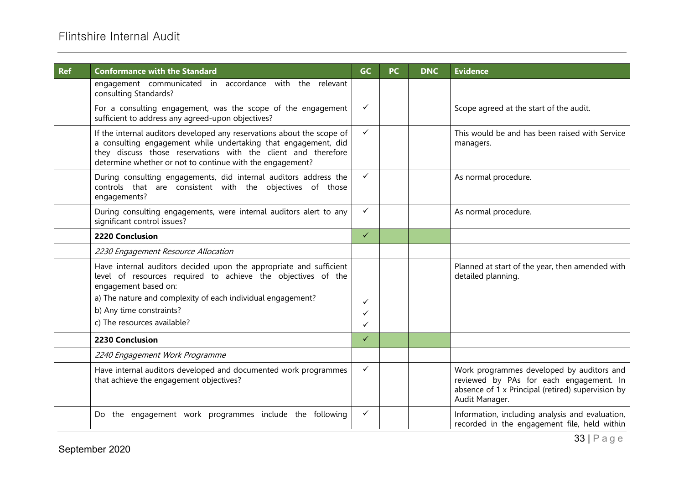| <b>Ref</b> | <b>Conformance with the Standard</b>                                                                                                                                                                                                                                   | <b>GC</b>    | PC | <b>DNC</b> | <b>Evidence</b>                                                                                                                                             |
|------------|------------------------------------------------------------------------------------------------------------------------------------------------------------------------------------------------------------------------------------------------------------------------|--------------|----|------------|-------------------------------------------------------------------------------------------------------------------------------------------------------------|
|            | engagement communicated in accordance with the relevant<br>consulting Standards?                                                                                                                                                                                       |              |    |            |                                                                                                                                                             |
|            | For a consulting engagement, was the scope of the engagement<br>sufficient to address any agreed-upon objectives?                                                                                                                                                      | $\checkmark$ |    |            | Scope agreed at the start of the audit.                                                                                                                     |
|            | If the internal auditors developed any reservations about the scope of<br>a consulting engagement while undertaking that engagement, did<br>they discuss those reservations with the client and therefore<br>determine whether or not to continue with the engagement? | $\checkmark$ |    |            | This would be and has been raised with Service<br>managers.                                                                                                 |
|            | During consulting engagements, did internal auditors address the<br>controls that are consistent with the objectives of those<br>engagements?                                                                                                                          | $\checkmark$ |    |            | As normal procedure.                                                                                                                                        |
|            | During consulting engagements, were internal auditors alert to any<br>significant control issues?                                                                                                                                                                      | $\checkmark$ |    |            | As normal procedure.                                                                                                                                        |
|            | 2220 Conclusion                                                                                                                                                                                                                                                        | $\checkmark$ |    |            |                                                                                                                                                             |
|            | 2230 Engagement Resource Allocation                                                                                                                                                                                                                                    |              |    |            |                                                                                                                                                             |
|            | Have internal auditors decided upon the appropriate and sufficient<br>level of resources required to achieve the objectives of the<br>engagement based on:                                                                                                             |              |    |            | Planned at start of the year, then amended with<br>detailed planning.                                                                                       |
|            | a) The nature and complexity of each individual engagement?                                                                                                                                                                                                            | ✓            |    |            |                                                                                                                                                             |
|            | b) Any time constraints?                                                                                                                                                                                                                                               | ✓            |    |            |                                                                                                                                                             |
|            | c) The resources available?                                                                                                                                                                                                                                            | ✓            |    |            |                                                                                                                                                             |
|            | 2230 Conclusion                                                                                                                                                                                                                                                        | $\checkmark$ |    |            |                                                                                                                                                             |
|            | 2240 Engagement Work Programme                                                                                                                                                                                                                                         |              |    |            |                                                                                                                                                             |
|            | Have internal auditors developed and documented work programmes<br>that achieve the engagement objectives?                                                                                                                                                             | $\checkmark$ |    |            | Work programmes developed by auditors and<br>reviewed by PAs for each engagement. In<br>absence of 1 x Principal (retired) supervision by<br>Audit Manager. |
|            | Do the engagement work programmes include the following                                                                                                                                                                                                                | ✓            |    |            | Information, including analysis and evaluation,<br>recorded in the engagement file, held within                                                             |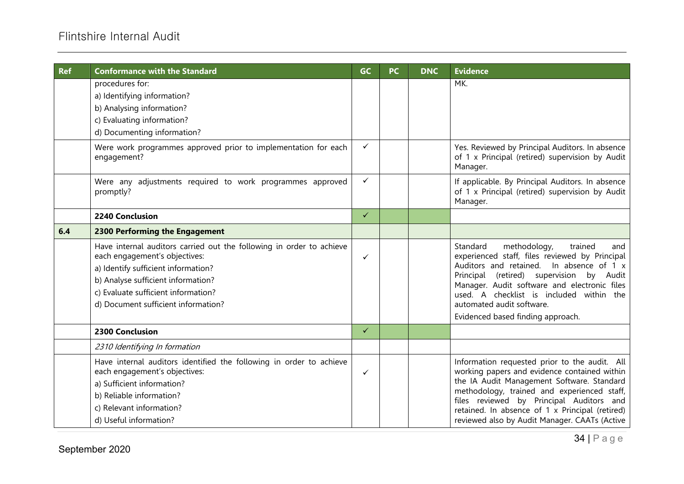| <b>Ref</b> | <b>Conformance with the Standard</b>                                                                                                                                                                                                                             | GC           | PC | <b>DNC</b> | <b>Evidence</b>                                                                                                                                                                                                                                                                                                                                       |
|------------|------------------------------------------------------------------------------------------------------------------------------------------------------------------------------------------------------------------------------------------------------------------|--------------|----|------------|-------------------------------------------------------------------------------------------------------------------------------------------------------------------------------------------------------------------------------------------------------------------------------------------------------------------------------------------------------|
|            | procedures for:<br>a) Identifying information?<br>b) Analysing information?<br>c) Evaluating information?<br>d) Documenting information?                                                                                                                         |              |    |            | MK.                                                                                                                                                                                                                                                                                                                                                   |
|            | Were work programmes approved prior to implementation for each<br>engagement?                                                                                                                                                                                    | ✓            |    |            | Yes. Reviewed by Principal Auditors. In absence<br>of 1 x Principal (retired) supervision by Audit<br>Manager.                                                                                                                                                                                                                                        |
|            | Were any adjustments required to work programmes approved<br>promptly?                                                                                                                                                                                           | $\checkmark$ |    |            | If applicable. By Principal Auditors. In absence<br>of 1 x Principal (retired) supervision by Audit<br>Manager.                                                                                                                                                                                                                                       |
|            | 2240 Conclusion                                                                                                                                                                                                                                                  | $\checkmark$ |    |            |                                                                                                                                                                                                                                                                                                                                                       |
| 6.4        | 2300 Performing the Engagement                                                                                                                                                                                                                                   |              |    |            |                                                                                                                                                                                                                                                                                                                                                       |
|            | Have internal auditors carried out the following in order to achieve<br>each engagement's objectives:<br>a) Identify sufficient information?<br>b) Analyse sufficient information?<br>c) Evaluate sufficient information?<br>d) Document sufficient information? | ✓            |    |            | Standard<br>methodology,<br>trained<br>and<br>experienced staff, files reviewed by Principal<br>Auditors and retained.<br>In absence of 1 x<br>Principal (retired) supervision by Audit<br>Manager. Audit software and electronic files<br>used. A checklist is included within the<br>automated audit software.<br>Evidenced based finding approach. |
|            | 2300 Conclusion                                                                                                                                                                                                                                                  | $\checkmark$ |    |            |                                                                                                                                                                                                                                                                                                                                                       |
|            | 2310 Identifying In formation                                                                                                                                                                                                                                    |              |    |            |                                                                                                                                                                                                                                                                                                                                                       |
|            | Have internal auditors identified the following in order to achieve<br>each engagement's objectives:<br>a) Sufficient information?<br>b) Reliable information?<br>c) Relevant information?<br>d) Useful information?                                             | ✓            |    |            | Information requested prior to the audit. All<br>working papers and evidence contained within<br>the IA Audit Management Software. Standard<br>methodology, trained and experienced staff,<br>files reviewed by Principal Auditors and<br>retained. In absence of 1 x Principal (retired)<br>reviewed also by Audit Manager. CAATs (Active            |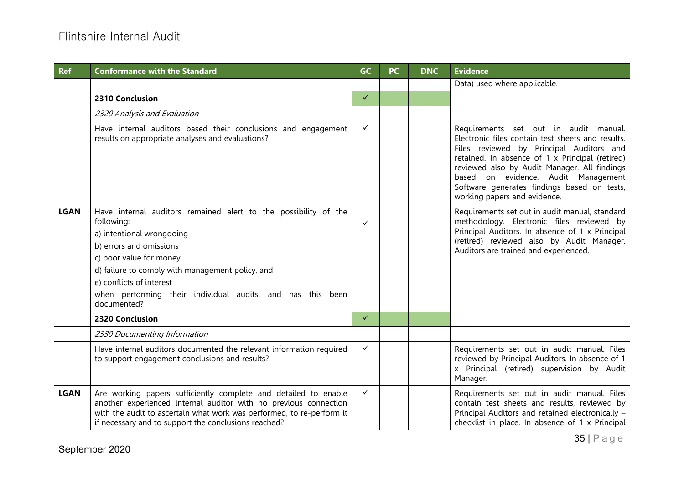| <b>Ref</b>  | <b>Conformance with the Standard</b>                                                                                                                                                                                                                                                                                          | <b>GC</b>    | <b>PC</b> | <b>DNC</b> | <b>Evidence</b>                                                                                                                                                                                                                                                                                                                                                 |
|-------------|-------------------------------------------------------------------------------------------------------------------------------------------------------------------------------------------------------------------------------------------------------------------------------------------------------------------------------|--------------|-----------|------------|-----------------------------------------------------------------------------------------------------------------------------------------------------------------------------------------------------------------------------------------------------------------------------------------------------------------------------------------------------------------|
|             |                                                                                                                                                                                                                                                                                                                               |              |           |            | Data) used where applicable.                                                                                                                                                                                                                                                                                                                                    |
|             | 2310 Conclusion                                                                                                                                                                                                                                                                                                               | $\checkmark$ |           |            |                                                                                                                                                                                                                                                                                                                                                                 |
|             | 2320 Analysis and Evaluation                                                                                                                                                                                                                                                                                                  |              |           |            |                                                                                                                                                                                                                                                                                                                                                                 |
|             | Have internal auditors based their conclusions and engagement<br>results on appropriate analyses and evaluations?                                                                                                                                                                                                             | $\checkmark$ |           |            | Requirements set out in audit manual.<br>Electronic files contain test sheets and results.<br>Files reviewed by Principal Auditors and<br>retained. In absence of 1 x Principal (retired)<br>reviewed also by Audit Manager. All findings<br>based on evidence. Audit Management<br>Software generates findings based on tests,<br>working papers and evidence. |
| <b>LGAN</b> | Have internal auditors remained alert to the possibility of the<br>following:<br>a) intentional wrongdoing<br>b) errors and omissions<br>c) poor value for money<br>d) failure to comply with management policy, and<br>e) conflicts of interest<br>when performing their individual audits, and has this been<br>documented? | $\checkmark$ |           |            | Requirements set out in audit manual, standard<br>methodology. Electronic files reviewed by<br>Principal Auditors. In absence of 1 x Principal<br>(retired) reviewed also by Audit Manager.<br>Auditors are trained and experienced.                                                                                                                            |
|             | <b>2320 Conclusion</b>                                                                                                                                                                                                                                                                                                        | $\checkmark$ |           |            |                                                                                                                                                                                                                                                                                                                                                                 |
|             | 2330 Documenting Information                                                                                                                                                                                                                                                                                                  |              |           |            |                                                                                                                                                                                                                                                                                                                                                                 |
|             | Have internal auditors documented the relevant information required<br>to support engagement conclusions and results?                                                                                                                                                                                                         | $\checkmark$ |           |            | Requirements set out in audit manual. Files<br>reviewed by Principal Auditors. In absence of 1<br>x Principal (retired) supervision by Audit<br>Manager.                                                                                                                                                                                                        |
| <b>LGAN</b> | Are working papers sufficiently complete and detailed to enable<br>another experienced internal auditor with no previous connection<br>with the audit to ascertain what work was performed, to re-perform it<br>if necessary and to support the conclusions reached?                                                          | $\checkmark$ |           |            | Requirements set out in audit manual. Files<br>contain test sheets and results, reviewed by<br>Principal Auditors and retained electronically -<br>checklist in place. In absence of 1 x Principal                                                                                                                                                              |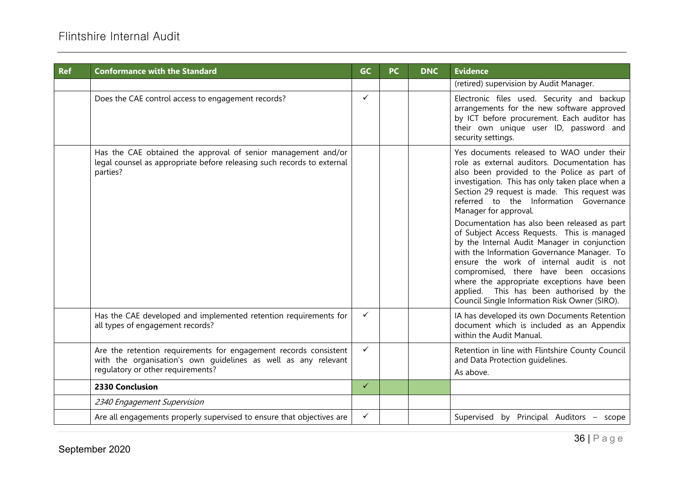| <b>Ref</b> | <b>Conformance with the Standard</b>                                                                                                                                    | GC           | <b>PC</b> | <b>DNC</b> | <b>Evidence</b>                                                                                                                                                                                                                                                                                                                                                                                                                                                                                                                                                                                                                                                                                                                               |
|------------|-------------------------------------------------------------------------------------------------------------------------------------------------------------------------|--------------|-----------|------------|-----------------------------------------------------------------------------------------------------------------------------------------------------------------------------------------------------------------------------------------------------------------------------------------------------------------------------------------------------------------------------------------------------------------------------------------------------------------------------------------------------------------------------------------------------------------------------------------------------------------------------------------------------------------------------------------------------------------------------------------------|
|            |                                                                                                                                                                         |              |           |            | (retired) supervision by Audit Manager.                                                                                                                                                                                                                                                                                                                                                                                                                                                                                                                                                                                                                                                                                                       |
|            | Does the CAE control access to engagement records?                                                                                                                      | ✓            |           |            | Electronic files used. Security and backup<br>arrangements for the new software approved<br>by ICT before procurement. Each auditor has<br>their own unique user ID, password and<br>security settings.                                                                                                                                                                                                                                                                                                                                                                                                                                                                                                                                       |
|            | Has the CAE obtained the approval of senior management and/or<br>legal counsel as appropriate before releasing such records to external<br>parties?                     |              |           |            | Yes documents released to WAO under their<br>role as external auditors. Documentation has<br>also been provided to the Police as part of<br>investigation. This has only taken place when a<br>Section 29 request is made. This request was<br>referred to the Information Governance<br>Manager for approval.<br>Documentation has also been released as part<br>of Subject Access Requests. This is managed<br>by the Internal Audit Manager in conjunction<br>with the Information Governance Manager. To<br>ensure the work of internal audit is not<br>compromised, there have been occasions<br>where the appropriate exceptions have been<br>applied. This has been authorised by the<br>Council Single Information Risk Owner (SIRO). |
|            | Has the CAE developed and implemented retention requirements for<br>all types of engagement records?                                                                    | ✓            |           |            | IA has developed its own Documents Retention<br>document which is included as an Appendix<br>within the Audit Manual.                                                                                                                                                                                                                                                                                                                                                                                                                                                                                                                                                                                                                         |
|            | Are the retention requirements for engagement records consistent<br>with the organisation's own guidelines as well as any relevant<br>regulatory or other requirements? | ✓            |           |            | Retention in line with Flintshire County Council<br>and Data Protection quidelines.<br>As above.                                                                                                                                                                                                                                                                                                                                                                                                                                                                                                                                                                                                                                              |
|            | 2330 Conclusion                                                                                                                                                         | $\checkmark$ |           |            |                                                                                                                                                                                                                                                                                                                                                                                                                                                                                                                                                                                                                                                                                                                                               |
|            | 2340 Engagement Supervision                                                                                                                                             |              |           |            |                                                                                                                                                                                                                                                                                                                                                                                                                                                                                                                                                                                                                                                                                                                                               |
|            | Are all engagements properly supervised to ensure that objectives are                                                                                                   | ✓            |           |            | Supervised by Principal Auditors - scope                                                                                                                                                                                                                                                                                                                                                                                                                                                                                                                                                                                                                                                                                                      |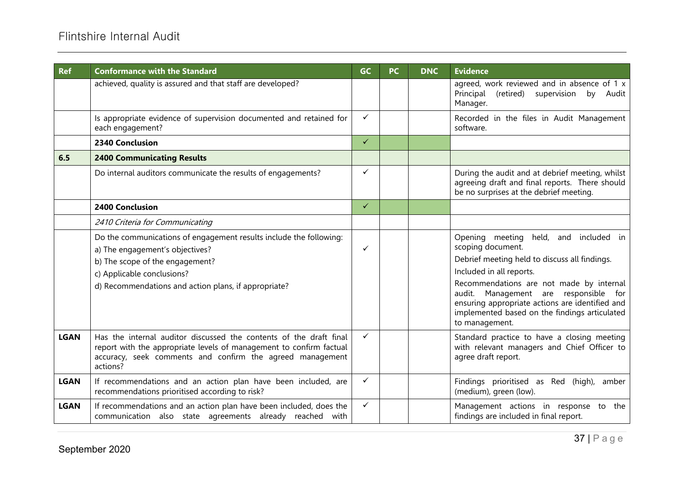| <b>Ref</b>  | <b>Conformance with the Standard</b>                                                                                                                                                                               | <b>GC</b>    | <b>PC</b> | <b>DNC</b> | <b>Evidence</b>                                                                                                                                                                                         |
|-------------|--------------------------------------------------------------------------------------------------------------------------------------------------------------------------------------------------------------------|--------------|-----------|------------|---------------------------------------------------------------------------------------------------------------------------------------------------------------------------------------------------------|
|             | achieved, quality is assured and that staff are developed?                                                                                                                                                         |              |           |            | agreed, work reviewed and in absence of 1 x<br>Principal (retired) supervision by Audit<br>Manager.                                                                                                     |
|             | Is appropriate evidence of supervision documented and retained for<br>each engagement?                                                                                                                             | $\checkmark$ |           |            | Recorded in the files in Audit Management<br>software.                                                                                                                                                  |
|             | 2340 Conclusion                                                                                                                                                                                                    | $\checkmark$ |           |            |                                                                                                                                                                                                         |
| 6.5         | <b>2400 Communicating Results</b>                                                                                                                                                                                  |              |           |            |                                                                                                                                                                                                         |
|             | Do internal auditors communicate the results of engagements?                                                                                                                                                       | $\checkmark$ |           |            | During the audit and at debrief meeting, whilst<br>agreeing draft and final reports. There should<br>be no surprises at the debrief meeting.                                                            |
|             | 2400 Conclusion                                                                                                                                                                                                    | $\checkmark$ |           |            |                                                                                                                                                                                                         |
|             | 2410 Criteria for Communicating                                                                                                                                                                                    |              |           |            |                                                                                                                                                                                                         |
|             | Do the communications of engagement results include the following:<br>a) The engagement's objectives?<br>b) The scope of the engagement?                                                                           | $\checkmark$ |           |            | Opening meeting<br>held,<br>and included in<br>scoping document.<br>Debrief meeting held to discuss all findings.<br>Included in all reports.                                                           |
|             | c) Applicable conclusions?<br>d) Recommendations and action plans, if appropriate?                                                                                                                                 |              |           |            | Recommendations are not made by internal<br>audit. Management are responsible for<br>ensuring appropriate actions are identified and<br>implemented based on the findings articulated<br>to management. |
| <b>LGAN</b> | Has the internal auditor discussed the contents of the draft final<br>report with the appropriate levels of management to confirm factual<br>accuracy, seek comments and confirm the agreed management<br>actions? | $\checkmark$ |           |            | Standard practice to have a closing meeting<br>with relevant managers and Chief Officer to<br>agree draft report.                                                                                       |
| <b>LGAN</b> | If recommendations and an action plan have been included, are<br>recommendations prioritised according to risk?                                                                                                    | $\checkmark$ |           |            | Findings prioritised as Red (high),<br>amber<br>(medium), green (low).                                                                                                                                  |
| <b>LGAN</b> | If recommendations and an action plan have been included, does the<br>communication also state agreements already reached with                                                                                     | $\checkmark$ |           |            | Management actions in response to the<br>findings are included in final report.                                                                                                                         |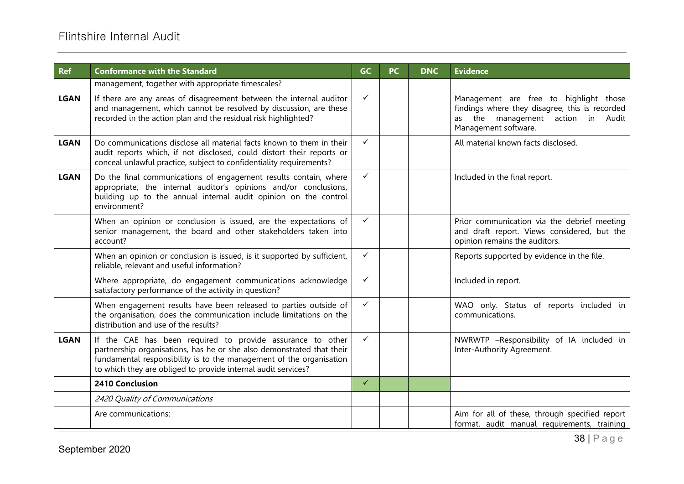| <b>Ref</b>  | <b>Conformance with the Standard</b>                                                                                                                                                                                                                                        | <b>GC</b>    | <b>PC</b> | <b>DNC</b> | <b>Evidence</b>                                                                                                                                       |
|-------------|-----------------------------------------------------------------------------------------------------------------------------------------------------------------------------------------------------------------------------------------------------------------------------|--------------|-----------|------------|-------------------------------------------------------------------------------------------------------------------------------------------------------|
|             | management, together with appropriate timescales?                                                                                                                                                                                                                           |              |           |            |                                                                                                                                                       |
| <b>LGAN</b> | If there are any areas of disagreement between the internal auditor<br>and management, which cannot be resolved by discussion, are these<br>recorded in the action plan and the residual risk highlighted?                                                                  | $\checkmark$ |           |            | Management are free to highlight those<br>findings where they disagree, this is recorded<br>as the management action in Audit<br>Management software. |
| <b>LGAN</b> | Do communications disclose all material facts known to them in their<br>audit reports which, if not disclosed, could distort their reports or<br>conceal unlawful practice, subject to confidentiality requirements?                                                        | $\checkmark$ |           |            | All material known facts disclosed.                                                                                                                   |
| <b>LGAN</b> | Do the final communications of engagement results contain, where<br>appropriate, the internal auditor's opinions and/or conclusions,<br>building up to the annual internal audit opinion on the control<br>environment?                                                     | $\checkmark$ |           |            | Included in the final report.                                                                                                                         |
|             | When an opinion or conclusion is issued, are the expectations of<br>senior management, the board and other stakeholders taken into<br>account?                                                                                                                              | $\checkmark$ |           |            | Prior communication via the debrief meeting<br>and draft report. Views considered, but the<br>opinion remains the auditors.                           |
|             | When an opinion or conclusion is issued, is it supported by sufficient,<br>reliable, relevant and useful information?                                                                                                                                                       | $\checkmark$ |           |            | Reports supported by evidence in the file.                                                                                                            |
|             | Where appropriate, do engagement communications acknowledge<br>satisfactory performance of the activity in question?                                                                                                                                                        | $\checkmark$ |           |            | Included in report.                                                                                                                                   |
|             | When engagement results have been released to parties outside of<br>the organisation, does the communication include limitations on the<br>distribution and use of the results?                                                                                             | $\checkmark$ |           |            | WAO only. Status of reports included in<br>communications.                                                                                            |
| <b>LGAN</b> | If the CAE has been required to provide assurance to other<br>partnership organisations, has he or she also demonstrated that their<br>fundamental responsibility is to the management of the organisation<br>to which they are obliged to provide internal audit services? | $\checkmark$ |           |            | NWRWTP -Responsibility of IA included in<br>Inter-Authority Agreement.                                                                                |
|             | 2410 Conclusion                                                                                                                                                                                                                                                             | $\checkmark$ |           |            |                                                                                                                                                       |
|             | 2420 Quality of Communications                                                                                                                                                                                                                                              |              |           |            |                                                                                                                                                       |
|             | Are communications:                                                                                                                                                                                                                                                         |              |           |            | Aim for all of these, through specified report<br>format, audit manual requirements, training                                                         |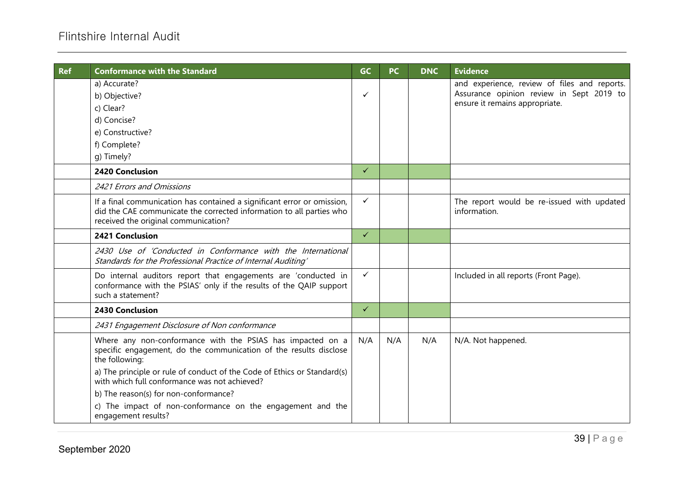| <b>Ref</b> | <b>Conformance with the Standard</b>                                                                                                                                                    | GC           | <b>PC</b> | <b>DNC</b> | <b>Evidence</b>                                                                                                            |
|------------|-----------------------------------------------------------------------------------------------------------------------------------------------------------------------------------------|--------------|-----------|------------|----------------------------------------------------------------------------------------------------------------------------|
|            | a) Accurate?<br>b) Objective?<br>c) Clear?                                                                                                                                              | ✓            |           |            | and experience, review of files and reports.<br>Assurance opinion review in Sept 2019 to<br>ensure it remains appropriate. |
|            | d) Concise?                                                                                                                                                                             |              |           |            |                                                                                                                            |
|            | e) Constructive?                                                                                                                                                                        |              |           |            |                                                                                                                            |
|            | f) Complete?                                                                                                                                                                            |              |           |            |                                                                                                                            |
|            | g) Timely?                                                                                                                                                                              |              |           |            |                                                                                                                            |
|            | 2420 Conclusion                                                                                                                                                                         | $\checkmark$ |           |            |                                                                                                                            |
|            | 2421 Errors and Omissions                                                                                                                                                               |              |           |            |                                                                                                                            |
|            | If a final communication has contained a significant error or omission,<br>did the CAE communicate the corrected information to all parties who<br>received the original communication? | ✓            |           |            | The report would be re-issued with updated<br>information.                                                                 |
|            | 2421 Conclusion                                                                                                                                                                         | $\checkmark$ |           |            |                                                                                                                            |
|            | 2430 Use of 'Conducted in Conformance with the International<br>Standards for the Professional Practice of Internal Auditing'                                                           |              |           |            |                                                                                                                            |
|            | Do internal auditors report that engagements are 'conducted in<br>conformance with the PSIAS' only if the results of the QAIP support<br>such a statement?                              | ✓            |           |            | Included in all reports (Front Page).                                                                                      |
|            | 2430 Conclusion                                                                                                                                                                         | $\checkmark$ |           |            |                                                                                                                            |
|            | 2431 Engagement Disclosure of Non conformance                                                                                                                                           |              |           |            |                                                                                                                            |
|            | Where any non-conformance with the PSIAS has impacted on a<br>specific engagement, do the communication of the results disclose<br>the following:                                       | N/A          | N/A       | N/A        | N/A. Not happened.                                                                                                         |
|            | a) The principle or rule of conduct of the Code of Ethics or Standard(s)<br>with which full conformance was not achieved?                                                               |              |           |            |                                                                                                                            |
|            | b) The reason(s) for non-conformance?                                                                                                                                                   |              |           |            |                                                                                                                            |
|            | c) The impact of non-conformance on the engagement and the<br>engagement results?                                                                                                       |              |           |            |                                                                                                                            |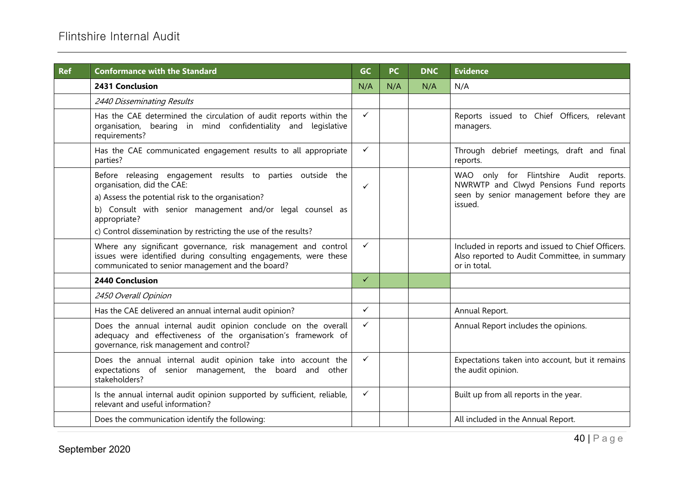| <b>Ref</b> | <b>Conformance with the Standard</b>                                                                                                                                                                                                                                                          | GC           | <b>PC</b> | <b>DNC</b> | <b>Evidence</b>                                                                                                                          |
|------------|-----------------------------------------------------------------------------------------------------------------------------------------------------------------------------------------------------------------------------------------------------------------------------------------------|--------------|-----------|------------|------------------------------------------------------------------------------------------------------------------------------------------|
|            | 2431 Conclusion                                                                                                                                                                                                                                                                               | N/A          | N/A       | N/A        | N/A                                                                                                                                      |
|            | 2440 Disseminating Results                                                                                                                                                                                                                                                                    |              |           |            |                                                                                                                                          |
|            | Has the CAE determined the circulation of audit reports within the<br>organisation, bearing in mind confidentiality and<br>legislative<br>requirements?                                                                                                                                       | $\checkmark$ |           |            | Reports issued to Chief Officers, relevant<br>managers.                                                                                  |
|            | Has the CAE communicated engagement results to all appropriate<br>parties?                                                                                                                                                                                                                    | ✓            |           |            | Through debrief meetings, draft and final<br>reports.                                                                                    |
|            | Before releasing engagement results to parties outside the<br>organisation, did the CAE:<br>a) Assess the potential risk to the organisation?<br>b) Consult with senior management and/or legal counsel as<br>appropriate?<br>c) Control dissemination by restricting the use of the results? | $\checkmark$ |           |            | WAO only for Flintshire Audit reports.<br>NWRWTP and Clwyd Pensions Fund reports<br>seen by senior management before they are<br>issued. |
|            | Where any significant governance, risk management and control<br>issues were identified during consulting engagements, were these<br>communicated to senior management and the board?                                                                                                         | $\checkmark$ |           |            | Included in reports and issued to Chief Officers.<br>Also reported to Audit Committee, in summary<br>or in total.                        |
|            | <b>2440 Conclusion</b>                                                                                                                                                                                                                                                                        | $\checkmark$ |           |            |                                                                                                                                          |
|            | 2450 Overall Opinion                                                                                                                                                                                                                                                                          |              |           |            |                                                                                                                                          |
|            | Has the CAE delivered an annual internal audit opinion?                                                                                                                                                                                                                                       | $\checkmark$ |           |            | Annual Report.                                                                                                                           |
|            | Does the annual internal audit opinion conclude on the overall<br>adequacy and effectiveness of the organisation's framework of<br>governance, risk management and control?                                                                                                                   | ✓            |           |            | Annual Report includes the opinions.                                                                                                     |
|            | Does the annual internal audit opinion take into account the<br>expectations of senior management, the board and other<br>stakeholders?                                                                                                                                                       | $\checkmark$ |           |            | Expectations taken into account, but it remains<br>the audit opinion.                                                                    |
|            | Is the annual internal audit opinion supported by sufficient, reliable,<br>relevant and useful information?                                                                                                                                                                                   | $\checkmark$ |           |            | Built up from all reports in the year.                                                                                                   |
|            | Does the communication identify the following:                                                                                                                                                                                                                                                |              |           |            | All included in the Annual Report.                                                                                                       |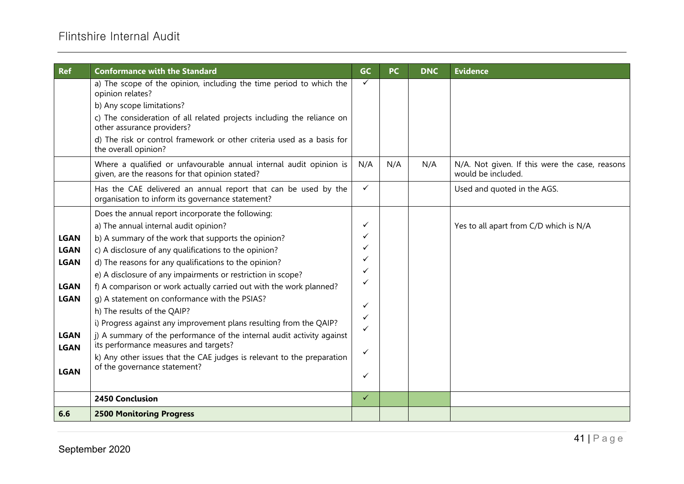| <b>Ref</b>                                                                                                           | <b>Conformance with the Standard</b>                                                                                                                                                                                                                                                                                                                                                                                                                                                                                                                                                                                                                                                                                                                                                         | <b>GC</b>                                           | <b>PC</b> | <b>DNC</b> | <b>Evidence</b>                                |
|----------------------------------------------------------------------------------------------------------------------|----------------------------------------------------------------------------------------------------------------------------------------------------------------------------------------------------------------------------------------------------------------------------------------------------------------------------------------------------------------------------------------------------------------------------------------------------------------------------------------------------------------------------------------------------------------------------------------------------------------------------------------------------------------------------------------------------------------------------------------------------------------------------------------------|-----------------------------------------------------|-----------|------------|------------------------------------------------|
|                                                                                                                      | a) The scope of the opinion, including the time period to which the<br>opinion relates?<br>b) Any scope limitations?<br>c) The consideration of all related projects including the reliance on<br>other assurance providers?<br>d) The risk or control framework or other criteria used as a basis for<br>the overall opinion?<br>Where a qualified or unfavourable annual internal audit opinion is                                                                                                                                                                                                                                                                                                                                                                                         | ✓<br>N/A                                            | N/A       | N/A        | N/A. Not given. If this were the case, reasons |
|                                                                                                                      | given, are the reasons for that opinion stated?                                                                                                                                                                                                                                                                                                                                                                                                                                                                                                                                                                                                                                                                                                                                              |                                                     |           |            | would be included.                             |
|                                                                                                                      | Has the CAE delivered an annual report that can be used by the<br>organisation to inform its governance statement?                                                                                                                                                                                                                                                                                                                                                                                                                                                                                                                                                                                                                                                                           | $\checkmark$                                        |           |            | Used and quoted in the AGS.                    |
| <b>LGAN</b><br><b>LGAN</b><br><b>LGAN</b><br><b>LGAN</b><br><b>LGAN</b><br><b>LGAN</b><br><b>LGAN</b><br><b>LGAN</b> | Does the annual report incorporate the following:<br>a) The annual internal audit opinion?<br>b) A summary of the work that supports the opinion?<br>c) A disclosure of any qualifications to the opinion?<br>d) The reasons for any qualifications to the opinion?<br>e) A disclosure of any impairments or restriction in scope?<br>f) A comparison or work actually carried out with the work planned?<br>g) A statement on conformance with the PSIAS?<br>h) The results of the QAIP?<br>i) Progress against any improvement plans resulting from the QAIP?<br>j) A summary of the performance of the internal audit activity against<br>its performance measures and targets?<br>k) Any other issues that the CAE judges is relevant to the preparation<br>of the governance statement? | ✓<br>✓<br>✓<br>✓<br>✓<br>✓<br>✓<br>✓<br>✓<br>✓<br>✓ |           |            | Yes to all apart from C/D which is N/A         |
|                                                                                                                      | 2450 Conclusion                                                                                                                                                                                                                                                                                                                                                                                                                                                                                                                                                                                                                                                                                                                                                                              | $\checkmark$                                        |           |            |                                                |
| 6.6                                                                                                                  | <b>2500 Monitoring Progress</b>                                                                                                                                                                                                                                                                                                                                                                                                                                                                                                                                                                                                                                                                                                                                                              |                                                     |           |            |                                                |